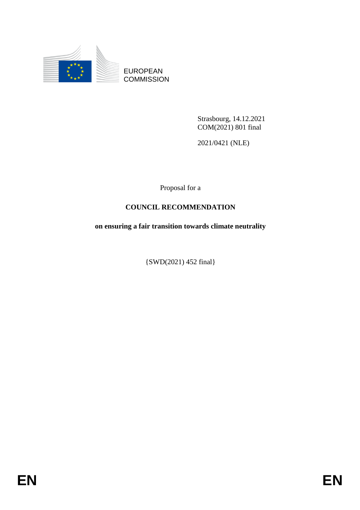

EUROPEAN **COMMISSION** 

> Strasbourg, 14.12.2021 COM(2021) 801 final

2021/0421 (NLE)

Proposal for a

# **COUNCIL RECOMMENDATION**

**on ensuring a fair transition towards climate neutrality** 

{SWD(2021) 452 final}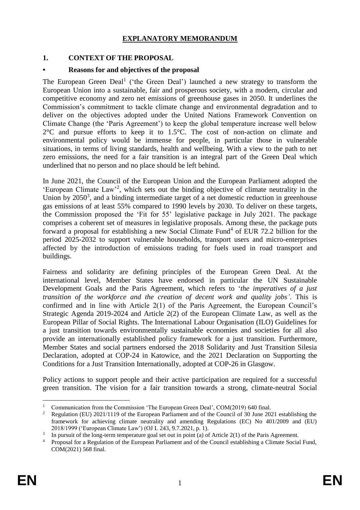## **EXPLANATORY MEMORANDUM**

#### **1. CONTEXT OF THE PROPOSAL**

#### **• Reasons for and objectives of the proposal**

The European Green Deal<sup>1</sup> ('the Green Deal') launched a new strategy to transform the European Union into a sustainable, fair and prosperous society, with a modern, circular and competitive economy and zero net emissions of greenhouse gases in 2050. It underlines the Commission's commitment to tackle climate change and environmental degradation and to deliver on the objectives adopted under the United Nations Framework Convention on Climate Change (the 'Paris Agreement') to keep the global temperature increase well below 2°C and pursue efforts to keep it to 1.5°C. The cost of non-action on climate and environmental policy would be immense for people, in particular those in vulnerable situations, in terms of living standards, health and wellbeing. With a view to the path to net zero emissions, the need for a fair transition is an integral part of the Green Deal which underlined that no person and no place should be left behind.

In June 2021, the Council of the European Union and the European Parliament adopted the 'European Climate Law'<sup>2</sup> , which sets out the binding objective of climate neutrality in the Union by  $2050<sup>3</sup>$ , and a binding intermediate target of a net domestic reduction in greenhouse gas emissions of at least 55% compared to 1990 levels by 2030. To deliver on these targets, the Commission proposed the 'Fit for 55' legislative package in July 2021. The package comprises a coherent set of measures in legislative proposals. Among these, the package puts forward a proposal for establishing a new Social Climate Fund<sup>4</sup> of EUR 72.2 billion for the period 2025-2032 to support vulnerable households, transport users and micro-enterprises affected by the introduction of emissions trading for fuels used in road transport and buildings.

Fairness and solidarity are defining principles of the European Green Deal. At the international level, Member States have endorsed in particular the UN Sustainable Development Goals and the Paris Agreement, which refers to '*the imperatives of a just transition of the workforce and the creation of decent work and quality jobs'*. This is confirmed and in line with Article 2(1) of the Paris Agreement, the European Council's Strategic Agenda 2019-2024 and Article 2(2) of the European Climate Law, as well as the European Pillar of Social Rights. The International Labour Organisation (ILO) Guidelines for a just transition towards environmentally sustainable economies and societies for all also provide an internationally established policy framework for a just transition. Furthermore, Member States and social partners endorsed the 2018 Solidarity and Just Transition Silesia Declaration, adopted at COP-24 in Katowice, and the 2021 Declaration on Supporting the Conditions for a Just Transition Internationally, adopted at COP-26 in Glasgow.

Policy actions to support people and their active participation are required for a successful green transition. The vision for a fair transition towards a strong, climate-neutral Social

<sup>&</sup>lt;u>.</u> <sup>1</sup> Communication from the Commission 'The European Green Deal', COM(2019) 640 final.<br><sup>2</sup> Begulation (EU) 2021/1110 of the European Berligment and of the Council of 20 June 200

<sup>2</sup> Regulation (EU) 2021/1119 of the European Parliament and of the Council of 30 June 2021 establishing the framework for achieving climate neutrality and amending Regulations (EC) No 401/2009 and (EU) 2018/1999 ('European Climate Law') (OJ L 243, 9.7.2021, p. 1).

<sup>3</sup> In pursuit of the long-term temperature goal set out in point (a) of Article 2(1) of the Paris Agreement.

<sup>4</sup> Proposal for a Regulation of the European Parliament and of the Council establishing a Climate Social Fund, COM(2021) 568 final.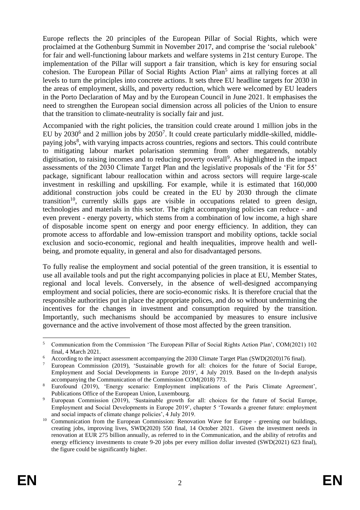Europe reflects the 20 principles of the European Pillar of Social Rights, which were proclaimed at the Gothenburg Summit in November 2017, and comprise the 'social rulebook' for fair and well-functioning labour markets and welfare systems in 21st century Europe. The implementation of the Pillar will support a fair transition, which is key for ensuring social cohesion. The European Pillar of Social Rights Action Plan<sup>5</sup> aims at rallying forces at all levels to turn the principles into concrete actions. It sets three EU headline targets for 2030 in the areas of employment, skills, and poverty reduction, which were welcomed by EU leaders in the Porto Declaration of May and by the European Council in June 2021. It emphasises the need to strengthen the European social dimension across all policies of the Union to ensure that the transition to climate-neutrality is socially fair and just.

Accompanied with the right policies, the transition could create around 1 million jobs in the EU by 2030<sup>6</sup> and 2 million jobs by 2050<sup>7</sup>. It could create particularly middle-skilled, middlepaying jobs<sup>8</sup>, with varying impacts across countries, regions and sectors. This could contribute to mitigating labour market polarisation stemming from other megatrends, notably digitisation, to raising incomes and to reducing poverty overall<sup>9</sup>. As highlighted in the impact assessments of the 2030 Climate Target Plan and the legislative proposals of the 'Fit for 55' package, significant labour reallocation within and across sectors will require large-scale investment in reskilling and upskilling. For example, while it is estimated that 160,000 additional construction jobs could be created in the EU by 2030 through the climate transition<sup>10</sup>, currently skills gaps are visible in occupations related to green design, technologies and materials in this sector. The right accompanying policies can reduce - and even prevent - energy poverty, which stems from a combination of low income, a high share of disposable income spent on energy and poor energy efficiency. In addition, they can promote access to affordable and low-emission transport and mobility options, tackle social exclusion and socio-economic, regional and health inequalities, improve health and wellbeing, and promote equality, in general and also for disadvantaged persons.

To fully realise the employment and social potential of the green transition, it is essential to use all available tools and put the right accompanying policies in place at EU, Member States, regional and local levels. Conversely, in the absence of well-designed accompanying employment and social policies, there are socio-economic risks. It is therefore crucial that the responsible authorities put in place the appropriate polices, and do so without undermining the incentives for the changes in investment and consumption required by the transition. Importantly, such mechanisms should be accompanied by measures to ensure inclusive governance and the active involvement of those most affected by the green transition.

<sup>&</sup>lt;u>.</u> <sup>5</sup> Communication from the Commission 'The European Pillar of Social Rights Action Plan', COM(2021) 102 final, 4 March 2021.

<sup>6</sup> According to the impact assessment accompanying the 2030 Climate Target Plan (SWD(2020)176 final).

<sup>7</sup> European Commission (2019), ['Sustainable growth for all: choices for the future of Social Europe,](https://ec.europa.eu/social/esde2019)  [Employment and Social Developments in Europe 2019'](https://ec.europa.eu/social/esde2019), 4 July 2019. Based on the In-depth analysis accompanying the Communication of the Commission COM(2018) 773.

<sup>8</sup> Eurofound (2019), 'Energy scenario: Employment implications of the Paris Climate Agreement', Publications Office of the European Union, Luxembourg.

<sup>&</sup>lt;sup>9</sup> European Commission (2019), 'Sustainable growth for all: choices for the future of Social Europe, Employment and Social Developments in Europe 2019', chapter 5 'Towards a greener future: employment and social impacts of climate change policies', 4 July 2019.

<sup>&</sup>lt;sup>10</sup> Communication from the European Commission: Renovation Wave for Europe - greening our buildings, creating jobs, improving lives, SWD(2020) 550 final, 14 October 2021. Given the investment needs in renovation at EUR 275 billion annually, as referred to in the Communication, and the ability of retrofits and energy efficiency investments to create 9-20 jobs per every million dollar invested (SWD(2021) 623 final), the figure could be significantly higher.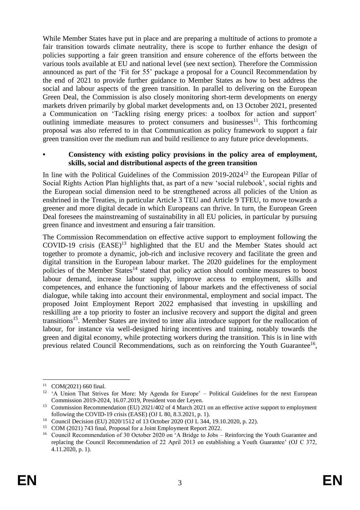While Member States have put in place and are preparing a multitude of actions to promote a fair transition towards climate neutrality, there is scope to further enhance the design of policies supporting a fair green transition and ensure coherence of the efforts between the various tools available at EU and national level (see next section). Therefore the Commission announced as part of the 'Fit for 55' package a proposal for a Council Recommendation by the end of 2021 to provide further guidance to Member States as how to best address the social and labour aspects of the green transition. In parallel to delivering on the European Green Deal, the Commission is also closely monitoring short-term developments on energy markets driven primarily by global market developments and, on 13 October 2021, presented a Communication on 'Tackling rising energy prices: a toolbox for action and support' outlining immediate measures to protect consumers and businesses $11$ . This forthcoming proposal was also referred to in that Communication as policy framework to support a fair green transition over the medium run and build resilience to any future price developments.

#### **• Consistency with existing policy provisions in the policy area of employment, skills, social and distributional aspects of the green transition**

In line with the Political Guidelines of the Commission 2019-2024<sup>12</sup> the European Pillar of Social Rights Action Plan highlights that, as part of a new 'social rulebook', social rights and the European social dimension need to be strengthened across all policies of the Union as enshrined in the Treaties, in particular Article 3 TEU and Article 9 TFEU, to move towards a greener and more digital decade in which Europeans can thrive. In turn, the European Green Deal foresees the mainstreaming of sustainability in all EU policies, in particular by pursuing green finance and investment and ensuring a fair transition.

The Commission Recommendation on effective active support to employment following the COVID-19 crisis  $(EASE)^{13}$  highlighted that the EU and the Member States should act together to promote a dynamic, job-rich and inclusive recovery and facilitate the green and digital transition in the European labour market. The 2020 guidelines for the employment policies of the Member States<sup>14</sup> stated that policy action should combine measures to boost labour demand, increase labour supply, improve access to employment, skills and competences, and enhance the functioning of labour markets and the effectiveness of social dialogue, while taking into account their environmental, employment and social impact. The proposed Joint Employment Report 2022 emphasised that investing in upskilling and reskilling are a top priority to foster an inclusive recovery and support the digital and green transitions<sup>15</sup>. Member States are invited to inter alia introduce support for the reallocation of labour, for instance via well-designed hiring incentives and training, notably towards the green and digital economy, while protecting workers during the transition. This is in line with previous related Council Recommendations, such as on reinforcing the Youth Guarantee<sup>16</sup>,

<sup>&</sup>lt;u>.</u>  $11$  COM(2021) 660 final.

<sup>&</sup>lt;sup>12</sup> 'A Union That Strives for More: My Agenda for Europe' – Political Guidelines for the next European Commission 2019-2024, 16.07.2019, President von der Leyen.

<sup>&</sup>lt;sup>13</sup> Commission Recommendation (EU) 2021/402 of 4 March 2021 on an effective active support to employment following the COVID-19 crisis (EASE) (OJ L 80, 8.3.2021, p. 1).

<sup>&</sup>lt;sup>14</sup> Council Decision (EU) 2020/1512 of 13 October 2020 (OJ L 344, 19.10.2020, p. 22).

<sup>&</sup>lt;sup>15</sup> COM (2021) 743 final, Proposal for a Joint Employment Report 2022.

<sup>&</sup>lt;sup>16</sup> Council Recommendation of 30 October 2020 on 'A Bridge to Jobs – Reinforcing the Youth Guarantee and replacing the Council Recommendation of 22 April 2013 on establishing a Youth Guarantee' (OJ C 372, 4.11.2020, p. 1).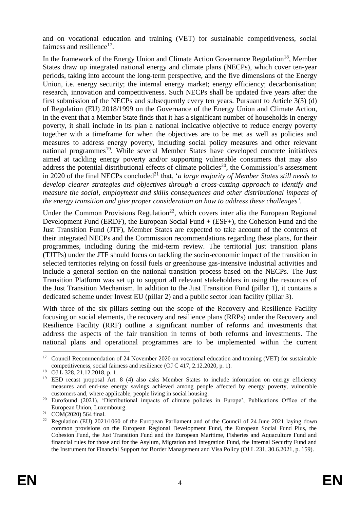and on vocational education and training (VET) for sustainable competitiveness, social fairness and resilience<sup>17</sup>.

In the framework of the Energy Union and Climate Action Governance Regulation<sup>18</sup>, Member States draw up integrated national energy and climate plans (NECPs), which cover ten-year periods, taking into account the long-term perspective, and the five dimensions of the Energy Union, i.e. energy security; the internal energy market; energy efficiency; decarbonisation; research, innovation and competitiveness. Such NECPs shall be updated five years after the first submission of the NECPs and subsequently every ten years. Pursuant to Article 3(3) (d) of Regulation (EU) 2018/1999 on the Governance of the Energy Union and Climate Action, in the event that a Member State finds that it has a significant number of households in energy poverty, it shall include in its plan a national indicative objective to reduce energy poverty together with a timeframe for when the objectives are to be met as well as policies and measures to address energy poverty, including social policy measures and other relevant national programmes<sup>19</sup>. While several Member States have developed concrete initiatives aimed at tackling energy poverty and/or supporting vulnerable consumers that may also address the potential distributional effects of climate policies<sup>20</sup>, the Commission's assessment in 2020 of the final NECPs concluded<sup>21</sup> that, '*a large majority of Member States still needs to develop clearer strategies and objectives through a cross-cutting approach to identify and measure the social, employment and skills consequences and other distributional impacts of the energy transition and give proper consideration on how to address these challenges'*.

Under the Common Provisions Regulation<sup>22</sup>, which covers inter alia the European Regional Development Fund (ERDF), the European Social Fund + (ESF+), the Cohesion Fund and the Just Transition Fund (JTF), Member States are expected to take account of the contents of their integrated NECPs and the Commission recommendations regarding these plans, for their programmes, including during the mid-term review. The territorial just transition plans (TJTPs) under the JTF should focus on tackling the socio-economic impact of the transition in selected territories relying on fossil fuels or greenhouse gas-intensive industrial activities and include a general section on the national transition process based on the NECPs. The Just Transition Platform was set up to support all relevant stakeholders in using the resources of the Just Transition Mechanism. In addition to the Just Transition Fund (pillar 1), it contains a dedicated scheme under Invest EU (pillar 2) and a public sector loan facility (pillar 3).

With three of the six pillars setting out the scope of the Recovery and Resilience Facility focusing on social elements, the recovery and resilience plans (RRPs) under the Recovery and Resilience Facility (RRF) outline a significant number of reforms and investments that address the aspects of the fair transition in terms of both reforms and investments. The national plans and operational programmes are to be implemented within the current

 $17<sup>17</sup>$ <sup>17</sup> Council Recommendation of 24 November 2020 on vocational education and training (VET) for sustainable competitiveness, social fairness and resilience (OJ C 417, 2.12.2020, p. 1).

<sup>18</sup> OJ L 328, 21.12.2018, p. 1.

<sup>19</sup> EED recast proposal Art. 8 (4) also asks Member States to include information on energy efficiency measures and end-use energy savings achieved among people affected by energy poverty, vulnerable customers and, where applicable, people living in social housing.

<sup>&</sup>lt;sup>20</sup> Eurofound (2021), 'Distributional impacts of climate policies in Europe', Publications Office of the European Union, Luxembourg.

 $21$  COM(2020) 564 final.

<sup>&</sup>lt;sup>22</sup> Regulation (EU) 2021/1060 of the European Parliament and of the Council of 24 June 2021 laying down common provisions on the European Regional Development Fund, the European Social Fund Plus, the Cohesion Fund, the Just Transition Fund and the European Maritime, Fisheries and Aquaculture Fund and financial rules for those and for the Asylum, Migration and Integration Fund, the Internal Security Fund and the Instrument for Financial Support for Border Management and Visa Policy (OJ L 231, 30.6.2021, p. 159).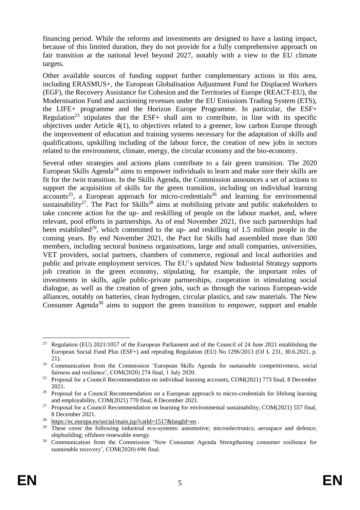financing period. While the reforms and investments are designed to have a lasting impact, because of this limited duration, they do not provide for a fully comprehensive approach on fair transition at the national level beyond 2027, notably with a view to the EU climate targets.

Other available sources of funding support further complementary actions in this area, including ERASMUS+, the European Globalisation Adjustment Fund for Displaced Workers (EGF), the Recovery Assistance for Cohesion and the Territories of Europe (REACT-EU), the Modernisation Fund and auctioning revenues under the EU Emissions Trading System (ETS), the LIFE+ programme and the Horizon Europe Programme. In particular, the ESF+ Regulation<sup>23</sup> stipulates that the ESF+ shall aim to contribute, in line with its specific objectives under Article 4(1), to objectives related to a greener, low carbon Europe through the improvement of education and training systems necessary for the adaptation of skills and qualifications, upskilling including of the labour force, the creation of new jobs in sectors related to the environment, climate, energy, the circular economy and the bio-economy.

Several other strategies and actions plans contribute to a fair green transition. The 2020 European Skills Agenda<sup>24</sup> aims to empower individuals to learn and make sure their skills are fit for the twin transition. In the Skills Agenda, the Commission announces a set of actions to support the acquisition of skills for the green transition, including on individual learning  $\frac{1}{25}$  a European approach for micro-credentials<sup>26</sup> and learning for environmental sustainability<sup>27</sup>. The Pact for Skills<sup>28</sup> aims at mobilising private and public stakeholders to take concrete action for the up- and reskilling of people on the labour market, and, where relevant, pool efforts in partnerships. As of end November 2021, five such partnerships had been established<sup>29</sup>, which committed to the up- and reskilling of 1.5 million people in the coming years. By end November 2021, the Pact for Skills had assembled more than 500 members, including sectoral business organisations, large and small companies, universities, VET providers, social partners, chambers of commerce, regional and local authorities and public and private employment services. The EU's updated New Industrial Strategy supports job creation in the green economy, stipulating, for example, the important roles of investments in skills, agile public-private partnerships, cooperation in stimulating social dialogue, as well as the creation of green jobs, such as through the various European-wide alliances, notably on batteries, clean hydrogen, circular plastics, and raw materials. The New Consumer Agenda<sup>30</sup> aims to support the green transition to empower, support and enable

<sup>&</sup>lt;u>.</u> <sup>23</sup> Regulation (EU) 2021/1057 of the European Parliament and of the Council of 24 June 2021 establishing the European Social Fund Plus (ESF+) and repealing Regulation (EU) No 1296/2013 (OJ L 231, 30.6.2021, p. 21).

<sup>&</sup>lt;sup>24</sup> Communication from the Commission 'European Skills Agenda for sustainable competitiveness, social fairness and resilience', COM(2020) 274 final, 1 July 2020.

<sup>&</sup>lt;sup>25</sup> Proposal for a Council Recommendation on individual learning accounts, COM(2021) 773 final, 8 December 2021.

<sup>&</sup>lt;sup>26</sup> Proposal for a Council Recommendation on a European approach to micro-credentials for lifelong learning and employability, COM(2021) 770 final, 8 December 2021.

<sup>&</sup>lt;sup>27</sup> Proposal for a Council Recommendation on learning for environmental sustainability, COM(2021) 557 final, 8 December 2021.

<sup>28</sup> <https://ec.europa.eu/social/main.jsp?catId=1517&langId=en> .

<sup>&</sup>lt;sup>29</sup> These cover the following industrial eco-systems: automotive; microelectronics; aerospace and defence; shipbuilding; offshore renewable energy.

<sup>&</sup>lt;sup>30</sup> Communication from the Commission 'New Consumer Agenda Strengthening consumer resilience for sustainable recovery', COM(2020) 696 final.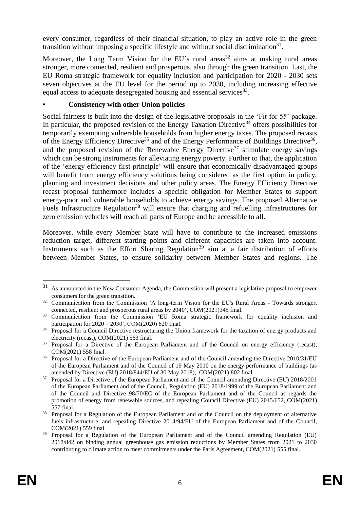every consumer, regardless of their financial situation, to play an active role in the green transition without imposing a specific lifestyle and without social discrimination $31$ .

Moreover, the Long Term Vision for the EU's rural areas<sup>32</sup> aims at making rural areas stronger, more connected, resilient and prosperous, also through the green transition. Last, the EU Roma strategic framework for equality inclusion and participation for 2020 - 2030 sets seven objectives at the EU level for the period up to 2030, including increasing effective equal access to adequate desegregated housing and essential services<sup>33</sup>.

## **• Consistency with other Union policies**

Social fairness is built into the design of the legislative proposals in the 'Fit for 55' package. In particular, the proposed revision of the Energy Taxation Directive<sup>34</sup> offers possibilities for temporarily exempting vulnerable households from higher energy taxes. The proposed recasts of the Energy Efficiency Directive<sup>35</sup> and of the Energy Performance of Buildings Directive<sup>36</sup>, and the proposed revision of the Renewable Energy Directive<sup>37</sup> stimulate energy savings which can be strong instruments for alleviating energy poverty. Further to that, the application of the 'energy efficiency first principle' will ensure that economically disadvantaged groups will benefit from energy efficiency solutions being considered as the first option in policy, planning and investment decisions and other policy areas. The Energy Efficiency Directive recast proposal furthermore includes a specific obligation for Member States to support energy-poor and vulnerable households to achieve energy savings. The proposed Alternative Fuels Infrastructure Regulation<sup>38</sup> will ensure that charging and refuelling infrastructures for zero emission vehicles will reach all parts of Europe and be accessible to all.

Moreover, while every Member State will have to contribute to the increased emissions reduction target, different starting points and different capacities are taken into account. Instruments such as the Effort Sharing Regulation<sup>39</sup> aim at a fair distribution of efforts between Member States, to ensure solidarity between Member States and regions. The

<sup>31</sup> As announced in the New Consumer Agenda, the Commission will present a legislative proposal to empower consumers for the green transition.

<sup>&</sup>lt;sup>32</sup> Communication from the Commission 'A long-term Vision for the EU's Rural Areas - Towards stronger, connected, resilient and prosperous rural areas by 2040', COM(2021)345 final.

<sup>&</sup>lt;sup>33</sup> Communication from the Commission 'EU Roma strategic framework for equality inclusion and participation for 2020 – 2030', COM(2020) 620 final.

<sup>&</sup>lt;sup>34</sup> Proposal for a Council Directive restructuring the Union framework for the taxation of energy products and electricity (recast), COM(2021) 563 final.

<sup>&</sup>lt;sup>35</sup> Proposal for a Directive of the European Parliament and of the Council on energy efficiency (recast), COM(2021) 558 final.

<sup>&</sup>lt;sup>36</sup> Proposal for a Directive of the European Parliament and of the Council amending the Directive 2010/31/EU of the European Parliament and of the Council of 19 May 2010 on the energy performance of buildings (as amended by Directive (EU) 2018/844/EU of 30 May 2018), COM(2021) 802 final.

<sup>&</sup>lt;sup>37</sup> Proposal for a Directive of the European Parliament and of the Council amending Directive (EU) 2018/2001 of the European Parliament and of the Council, Regulation (EU) 2018/1999 of the European Parliament and of the Council and Directive 98/70/EC of the European Parliament and of the Council as regards the promotion of energy from renewable sources, and repealing Council Directive (EU) 2015/652, COM(2021) 557 final.

<sup>&</sup>lt;sup>38</sup> Proposal for a Regulation of the European Parliament and of the Council on the deployment of alternative fuels infrastructure, and repealing Directive 2014/94/EU of the European Parliament and of the Council, COM(2021) 559 final.

<sup>&</sup>lt;sup>39</sup> Proposal for a Regulation of the European Parliament and of the Council amending Regulation (EU) 2018/842 on binding annual greenhouse gas emission reductions by Member States from 2021 to 2030 contributing to climate action to meet commitments under the Paris Agreement, COM(2021) 555 final.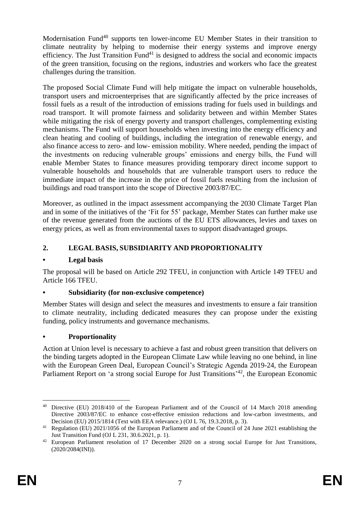Modernisation Fund<sup>40</sup> supports ten lower-income EU Member States in their transition to climate neutrality by helping to modernise their energy systems and improve energy efficiency. The Just Transition  $Fund<sup>41</sup>$  is designed to address the social and economic impacts of the green transition, focusing on the regions, industries and workers who face the greatest challenges during the transition.

The proposed Social Climate Fund will help mitigate the impact on vulnerable households, transport users and microenterprises that are significantly affected by the price increases of fossil fuels as a result of the introduction of emissions trading for fuels used in buildings and road transport. It will promote fairness and solidarity between and within Member States while mitigating the risk of energy poverty and transport challenges, complementing existing mechanisms. The Fund will support households when investing into the energy efficiency and clean heating and cooling of buildings, including the integration of renewable energy, and also finance access to zero- and low- emission mobility. Where needed, pending the impact of the investments on reducing vulnerable groups' emissions and energy bills, the Fund will enable Member States to finance measures providing temporary direct income support to vulnerable households and households that are vulnerable transport users to reduce the immediate impact of the increase in the price of fossil fuels resulting from the inclusion of buildings and road transport into the scope of Directive 2003/87/EC.

Moreover, as outlined in the impact assessment accompanying the 2030 Climate Target Plan and in some of the initiatives of the 'Fit for 55' package, Member States can further make use of the revenue generated from the auctions of the EU ETS allowances, levies and taxes on energy prices, as well as from environmental taxes to support disadvantaged groups.

## **2. LEGAL BASIS, SUBSIDIARITY AND PROPORTIONALITY**

## **• Legal basis**

The proposal will be based on Article 292 TFEU, in conjunction with Article 149 TFEU and Article 166 TFEU.

## **• Subsidiarity (for non-exclusive competence)**

Member States will design and select the measures and investments to ensure a fair transition to climate neutrality, including dedicated measures they can propose under the existing funding, policy instruments and governance mechanisms.

## **• Proportionality**

Action at Union level is necessary to achieve a fast and robust green transition that delivers on the binding targets adopted in the European Climate Law while leaving no one behind, in line with the European Green Deal, European Council's Strategic Agenda 2019-24, the European Parliament Report on 'a strong social Europe for Just Transitions<sup>'42</sup>, the European Economic

<sup>&</sup>lt;u>.</u> <sup>40</sup> Directive (EU) 2018/410 of the European Parliament and of the Council of 14 March 2018 amending Directive 2003/87/EC to enhance cost-effective emission reductions and low-carbon investments, and Decision (EU) 2015/1814 (Text with EEA relevance.) (OJ L 76, 19.3.2018, p. 3).

<sup>&</sup>lt;sup>41</sup> Regulation (EU) 2021/1056 of the European Parliament and of the Council of 24 June 2021 establishing the Just Transition Fund (OJ L 231, 30.6.2021, p. 1).

<sup>42</sup> European Parliament resolution of 17 December 2020 on a strong social Europe for Just Transitions, (2020/2084(INI)).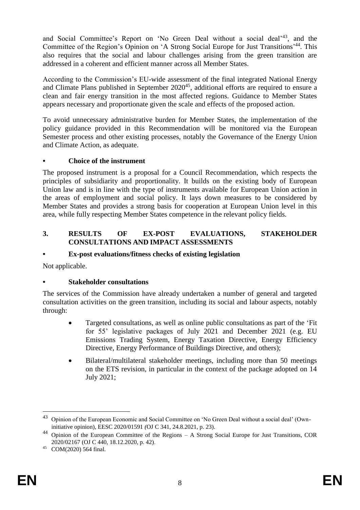and Social Committee's Report on 'No Green Deal without a social deal'<sup>43</sup>, and the Committee of the Region's Opinion on 'A Strong Social Europe for Just Transitions' <sup>44</sup>. This also requires that the social and labour challenges arising from the green transition are addressed in a coherent and efficient manner across all Member States.

According to the Commission's EU-wide assessment of the final integrated National Energy and Climate Plans published in September  $2020^{45}$ , additional efforts are required to ensure a clean and fair energy transition in the most affected regions. Guidance to Member States appears necessary and proportionate given the scale and effects of the proposed action.

To avoid unnecessary administrative burden for Member States, the implementation of the policy guidance provided in this Recommendation will be monitored via the European Semester process and other existing processes, notably the Governance of the Energy Union and Climate Action, as adequate.

## **• Choice of the instrument**

The proposed instrument is a proposal for a Council Recommendation, which respects the principles of subsidiarity and proportionality. It builds on the existing body of European Union law and is in line with the type of instruments available for European Union action in the areas of employment and social policy. It lays down measures to be considered by Member States and provides a strong basis for cooperation at European Union level in this area, while fully respecting Member States competence in the relevant policy fields.

#### **3. RESULTS OF EX-POST EVALUATIONS, STAKEHOLDER CONSULTATIONS AND IMPACT ASSESSMENTS**

## **• Ex-post evaluations/fitness checks of existing legislation**

Not applicable.

## **• Stakeholder consultations**

The services of the Commission have already undertaken a number of general and targeted consultation activities on the green transition, including its social and labour aspects, notably through:

- Targeted consultations, as well as online public consultations as part of the 'Fit for 55' legislative packages of July 2021 and December 2021 (e.g. EU Emissions Trading System, Energy Taxation Directive, Energy Efficiency Directive, Energy Performance of Buildings Directive, and others);
- Bilateral/multilateral stakeholder meetings, including more than 50 meetings on the ETS revision, in particular in the context of the package adopted on 14 July 2021;

<u>.</u>

<sup>&</sup>lt;sup>43</sup> Opinion of the European Economic and Social Committee on 'No Green Deal without a social deal' (Owninitiative opinion), EESC 2020/01591 *(*OJ C 341, 24.8.2021, p. 23).

<sup>44</sup> Opinion of the European Committee of the Regions – A Strong Social Europe for Just Transitions, COR 2020/02167 (OJ C 440, 18.12.2020, p. 42).

<sup>45</sup> COM(2020) 564 final.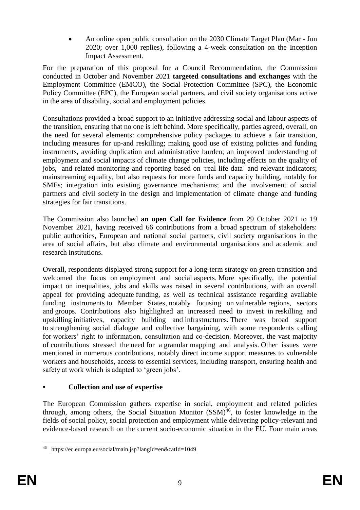An online open public consultation on the 2030 Climate Target Plan (Mar - Jun 2020; over 1,000 replies), following a 4-week consultation on the Inception Impact Assessment.

For the preparation of this proposal for a Council Recommendation, the Commission conducted in October and November 2021 **targeted consultations and exchanges** with the Employment Committee (EMCO), the Social Protection Committee (SPC), the Economic Policy Committee (EPC), the European social partners, and civil society organisations active in the area of disability, social and employment policies.

Consultations provided a broad support to an initiative addressing social and labour aspects of the transition, ensuring that no one is left behind. More specifically, parties agreed, overall, on the need for several elements: comprehensive policy packages to achieve a fair transition, including measures for up-and reskilling; making good use of existing policies and funding instruments, avoiding duplication and administrative burden; an improved understanding of employment and social impacts of climate change policies, including effects on the quality of jobs, and related monitoring and reporting based on 'real life data' and relevant indicators; mainstreaming equality, but also requests for more funds and capacity building, notably for SMEs; integration into existing governance mechanisms; and the involvement of social partners and civil society in the design and implementation of climate change and funding strategies for fair transitions.

The Commission also launched **an open Call for Evidence** from 29 October 2021 to 19 November 2021, having received 66 contributions from a broad spectrum of stakeholders: public authorities, European and national social partners, civil society organisations in the area of social affairs, but also climate and environmental organisations and academic and research institutions.

Overall, respondents displayed strong support for a long-term strategy on green transition and welcomed the focus on employment and social aspects. More specifically, the potential impact on inequalities, jobs and skills was raised in several contributions, with an overall appeal for providing adequate funding, as well as technical assistance regarding available funding instruments to Member States, notably focusing on vulnerable regions, sectors and groups. Contributions also highlighted an increased need to invest in reskilling and upskilling initiatives, capacity building and infrastructures. There was broad support to strengthening social dialogue and collective bargaining, with some respondents calling for workers' right to information, consultation and co-decision. Moreover, the vast majority of contributions stressed the need for a granular mapping and analysis. Other issues were mentioned in numerous contributions, notably direct income support measures to vulnerable workers and households, access to essential services, including transport, ensuring health and safety at work which is adapted to 'green jobs'.

# **• Collection and use of expertise**

The European Commission gathers expertise in social, employment and related policies through, among others, the Social Situation Monitor  $(SSM)^{46}$ , to foster knowledge in the fields of social policy, social protection and employment while delivering policy-relevant and evidence-based research on the current socio-economic situation in the EU. Four main areas

<sup>&</sup>lt;u>.</u> <sup>46</sup> <https://ec.europa.eu/social/main.jsp?langId=en&catId=1049>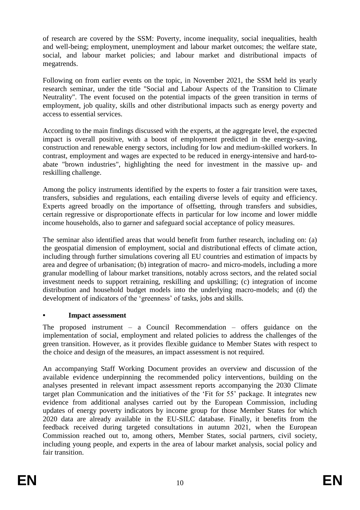of research are covered by the SSM: Poverty, income inequality, social inequalities, health and well-being; employment, unemployment and labour market outcomes; the welfare state, social, and labour market policies; and labour market and distributional impacts of megatrends.

Following on from earlier events on the topic, in November 2021, the SSM held its yearly research seminar, under the title "Social and Labour Aspects of the Transition to Climate Neutrality". The event focused on the potential impacts of the green transition in terms of employment, job quality, skills and other distributional impacts such as energy poverty and access to essential services.

According to the main findings discussed with the experts, at the aggregate level, the expected impact is overall positive, with a boost of employment predicted in the energy-saving, construction and renewable energy sectors, including for low and medium-skilled workers. In contrast, employment and wages are expected to be reduced in energy-intensive and hard-toabate "brown industries", highlighting the need for investment in the massive up- and reskilling challenge.

Among the policy instruments identified by the experts to foster a fair transition were taxes, transfers, subsidies and regulations, each entailing diverse levels of equity and efficiency. Experts agreed broadly on the importance of offsetting, through transfers and subsidies, certain regressive or disproportionate effects in particular for low income and lower middle income households, also to garner and safeguard social acceptance of policy measures.

The seminar also identified areas that would benefit from further research, including on: (a) the geospatial dimension of employment, social and distributional effects of climate action, including through further simulations covering all EU countries and estimation of impacts by area and degree of urbanisation; (b) integration of macro- and micro-models, including a more granular modelling of labour market transitions, notably across sectors, and the related social investment needs to support retraining, reskilling and upskilling; (c) integration of income distribution and household budget models into the underlying macro-models; and (d) the development of indicators of the 'greenness' of tasks, jobs and skills.

## **• Impact assessment**

The proposed instrument – a Council Recommendation – offers guidance on the implementation of social, employment and related policies to address the challenges of the green transition. However, as it provides flexible guidance to Member States with respect to the choice and design of the measures, an impact assessment is not required.

An accompanying Staff Working Document provides an overview and discussion of the available evidence underpinning the recommended policy interventions, building on the analyses presented in relevant impact assessment reports accompanying the 2030 Climate target plan Communication and the initiatives of the 'Fit for 55' package. It integrates new evidence from additional analyses carried out by the European Commission, including updates of energy poverty indicators by income group for those Member States for which 2020 data are already available in the EU-SILC database. Finally, it benefits from the feedback received during targeted consultations in autumn 2021, when the European Commission reached out to, among others, Member States, social partners, civil society, including young people, and experts in the area of labour market analysis, social policy and fair transition.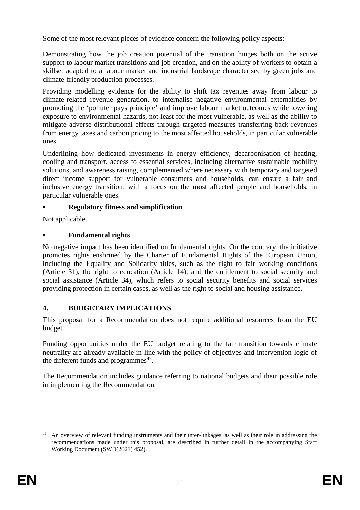Some of the most relevant pieces of evidence concern the following policy aspects:

Demonstrating how the job creation potential of the transition hinges both on the active support to labour market transitions and job creation, and on the ability of workers to obtain a skillset adapted to a labour market and industrial landscape characterised by green jobs and climate-friendly production processes.

Providing modelling evidence for the ability to shift tax revenues away from labour to climate-related revenue generation, to internalise negative environmental externalities by promoting the 'polluter pays principle' and improve labour market outcomes while lowering exposure to environmental hazards, not least for the most vulnerable, as well as the ability to mitigate adverse distributional effects through targeted measures transferring back revenues from energy taxes and carbon pricing to the most affected households, in particular vulnerable ones.

Underlining how dedicated investments in energy efficiency, decarbonisation of heating, cooling and transport, access to essential services, including alternative sustainable mobility solutions, and awareness raising, complemented where necessary with temporary and targeted direct income support for vulnerable consumers and households, can ensure a fair and inclusive energy transition, with a focus on the most affected people and households, in particular vulnerable ones.

## **• Regulatory fitness and simplification**

Not applicable.

# **• Fundamental rights**

No negative impact has been identified on fundamental rights. On the contrary, the initiative promotes rights enshrined by the Charter of Fundamental Rights of the European Union, including the Equality and Solidarity titles, such as the right to fair working conditions (Article 31), the right to education (Article 14), and the entitlement to social security and social assistance (Article 34), which refers to social security benefits and social services providing protection in certain cases, as well as the right to social and housing assistance.

# **4. BUDGETARY IMPLICATIONS**

This proposal for a Recommendation does not require additional resources from the EU budget.

Funding opportunities under the EU budget relating to the fair transition towards climate neutrality are already available in line with the policy of objectives and intervention logic of the different funds and programmes $47$ .

The Recommendation includes guidance referring to national budgets and their possible role in implementing the Recommendation.

<sup>1</sup> <sup>47</sup> An overview of relevant funding instruments and their inter-linkages, as well as their role in addressing the recommendations made under this proposal, are described in further detail in the accompanying Staff Working Document (SWD(2021) 452).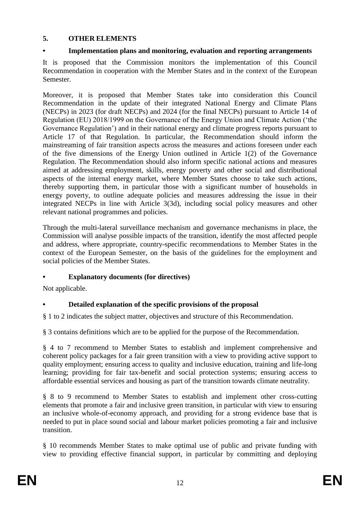## **5. OTHER ELEMENTS**

## **• Implementation plans and monitoring, evaluation and reporting arrangements**

It is proposed that the Commission monitors the implementation of this Council Recommendation in cooperation with the Member States and in the context of the European Semester.

Moreover, it is proposed that Member States take into consideration this Council Recommendation in the update of their integrated National Energy and Climate Plans (NECPs) in 2023 (for draft NECPs) and 2024 (for the final NECPs) pursuant to Article 14 of Regulation (EU) 2018/1999 on the Governance of the Energy Union and Climate Action ('the Governance Regulation') and in their national energy and climate progress reports pursuant to Article 17 of that Regulation. In particular, the Recommendation should inform the mainstreaming of fair transition aspects across the measures and actions foreseen under each of the five dimensions of the Energy Union outlined in Article 1(2) of the Governance Regulation. The Recommendation should also inform specific national actions and measures aimed at addressing employment, skills, energy poverty and other social and distributional aspects of the internal energy market, where Member States choose to take such actions, thereby supporting them, in particular those with a significant number of households in energy poverty, to outline adequate policies and measures addressing the issue in their integrated NECPs in line with Article 3(3d), including social policy measures and other relevant national programmes and policies.

Through the multi-lateral surveillance mechanism and governance mechanisms in place, the Commission will analyse possible impacts of the transition, identify the most affected people and address, where appropriate, country-specific recommendations to Member States in the context of the European Semester, on the basis of the guidelines for the employment and social policies of the Member States.

# **• Explanatory documents (for directives)**

Not applicable.

# **• Detailed explanation of the specific provisions of the proposal**

§ 1 to 2 indicates the subject matter, objectives and structure of this Recommendation.

§ 3 contains definitions which are to be applied for the purpose of the Recommendation.

§ 4 to 7 recommend to Member States to establish and implement comprehensive and coherent policy packages for a fair green transition with a view to providing active support to quality employment; ensuring access to quality and inclusive education, training and life-long learning; providing for fair tax-benefit and social protection systems; ensuring access to affordable essential services and housing as part of the transition towards climate neutrality.

§ 8 to 9 recommend to Member States to establish and implement other cross-cutting elements that promote a fair and inclusive green transition, in particular with view to ensuring an inclusive whole-of-economy approach, and providing for a strong evidence base that is needed to put in place sound social and labour market policies promoting a fair and inclusive transition.

§ 10 recommends Member States to make optimal use of public and private funding with view to providing effective financial support, in particular by committing and deploying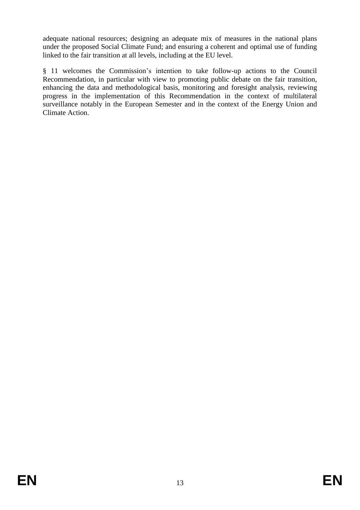adequate national resources; designing an adequate mix of measures in the national plans under the proposed Social Climate Fund; and ensuring a coherent and optimal use of funding linked to the fair transition at all levels, including at the EU level.

§ 11 welcomes the Commission's intention to take follow-up actions to the Council Recommendation, in particular with view to promoting public debate on the fair transition, enhancing the data and methodological basis, monitoring and foresight analysis, reviewing progress in the implementation of this Recommendation in the context of multilateral surveillance notably in the European Semester and in the context of the Energy Union and Climate Action.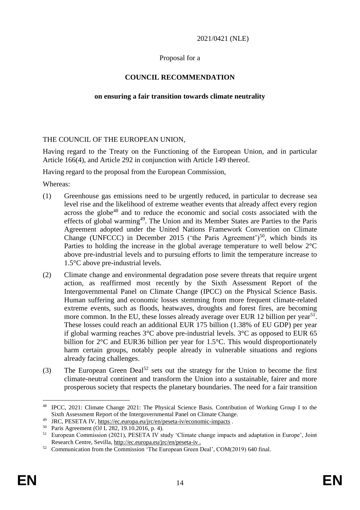#### 2021/0421 (NLE)

#### Proposal for a

## **COUNCIL RECOMMENDATION**

#### **on ensuring a fair transition towards climate neutrality**

#### THE COUNCIL OF THE EUROPEAN UNION,

Having regard to the Treaty on the Functioning of the European Union, and in particular Article 166(4), and Article 292 in conjunction with Article 149 thereof.

Having regard to the proposal from the European Commission,

Whereas:

- (1) Greenhouse gas emissions need to be urgently reduced, in particular to decrease sea level rise and the likelihood of extreme weather events that already affect every region across the globe<sup>48</sup> and to reduce the economic and social costs associated with the effects of global warming<sup>49</sup>. The Union and its Member States are Parties to the Paris Agreement adopted under the United Nations Framework Convention on Climate Change (UNFCCC) in December 2015 ('the Paris Agreement')<sup>50</sup>, which binds its Parties to holding the increase in the global average temperature to well below 2°C above pre-industrial levels and to pursuing efforts to limit the temperature increase to 1.5°C above pre-industrial levels.
- (2) Climate change and environmental degradation pose severe threats that require urgent action, as reaffirmed most recently by the Sixth Assessment Report of the Intergovernmental Panel on Climate Change (IPCC) on the Physical Science Basis. Human suffering and economic losses stemming from more frequent climate-related extreme events, such as floods, heatwaves, droughts and forest fires, are becoming more common. In the EU, these losses already average over EUR 12 billion per year<sup>51</sup>. These losses could reach an additional EUR 175 billion (1.38% of EU GDP) per year if global warming reaches  $3^{\circ}$ C above pre-industrial levels.  $3^{\circ}$ C as opposed to EUR 65 billion for 2°C and EUR36 billion per year for 1.5°C. This would disproportionately harm certain groups, notably people already in vulnerable situations and regions already facing challenges.
- (3) The European Green Deal<sup>52</sup> sets out the strategy for the Union to become the first climate-neutral continent and transform the Union into a sustainable, fairer and more prosperous society that respects the planetary boundaries. The need for a fair transition

<u>.</u>

<sup>48</sup> IPCC, 2021: Climate Change 2021: The Physical Science Basis. Contribution of Working Group I to the Sixth Assessment Report of the Intergovernmental Panel on Climate Change.

<sup>49</sup> JRC, PESETA IV,<https://ec.europa.eu/jrc/en/peseta-iv/economic-impacts> .

<sup>50</sup> Paris Agreement (OJ L 282, 19.10.2016, p. 4).

<sup>51</sup> European Commission (2021), PESETA IV study 'Climate change impacts and adaptation in Europe', Joint Research Centre, Sevilla,<http://ec.europa.eu/jrc/en/peseta-iv> .

<sup>52</sup> Communication from the Commission 'The European Green Deal', COM(2019) 640 final.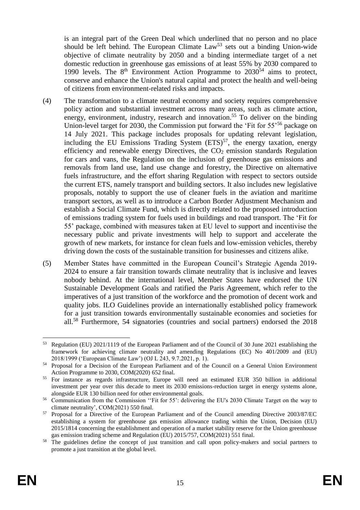is an integral part of the Green Deal which underlined that no person and no place should be left behind. The European Climate  $Law<sup>53</sup>$  sets out a binding Union-wide objective of climate neutrality by 2050 and a binding intermediate target of a net domestic reduction in greenhouse gas emissions of at least 55% by 2030 compared to 1990 levels. The  $8<sup>th</sup>$  Environment Action Programme to  $2030<sup>54</sup>$  aims to protect, conserve and enhance the Union's natural capital and protect the health and well-being of citizens from environment-related risks and impacts.

- (4) The transformation to a climate neutral economy and society requires comprehensive policy action and substantial investment across many areas, such as climate action, energy, environment, industry, research and innovation.<sup>55</sup> To deliver on the binding Union-level target for 2030, the Commission put forward the 'Fit for 55<sup>'56</sup> package on 14 July 2021. This package includes proposals for updating relevant legislation, including the EU Emissions Trading System  $(ETS)^{57}$ , the energy taxation, energy efficiency and renewable energy Directives, the  $CO<sub>2</sub>$  emission standards Regulation for cars and vans, the Regulation on the inclusion of greenhouse gas emissions and removals from land use, land use change and forestry, the Directive on alternative fuels infrastructure, and the effort sharing Regulation with respect to sectors outside the current ETS, namely transport and building sectors. It also includes new legislative proposals, notably to support the use of cleaner fuels in the aviation and maritime transport sectors, as well as to introduce a Carbon Border Adjustment Mechanism and establish a Social Climate Fund, which is directly related to the proposed introduction of emissions trading system for fuels used in buildings and road transport. The 'Fit for 55' package, combined with measures taken at EU level to support and incentivise the necessary public and private investments will help to support and accelerate the growth of new markets, for instance for clean fuels and low-emission vehicles, thereby driving down the costs of the sustainable transition for businesses and citizens alike.
- (5) Member States have committed in the European Council's Strategic Agenda 2019- 2024 to ensure a fair transition towards climate neutrality that is inclusive and leaves nobody behind. At the international level, Member States have endorsed the UN Sustainable Development Goals and ratified the Paris Agreement, which refer to the imperatives of a just transition of the workforce and the promotion of decent work and quality jobs. ILO Guidelines provide an internationally established policy framework for a just transition towards environmentally sustainable economies and societies for all.<sup>58</sup> Furthermore, 54 signatories (countries and social partners) endorsed the 2018

<sup>&</sup>lt;u>.</u> <sup>53</sup> Regulation (EU) 2021/1119 of the European Parliament and of the Council of 30 June 2021 establishing the framework for achieving climate neutrality and amending Regulations (EC) No 401/2009 and (EU) 2018/1999 ('European Climate Law') (OJ L 243, 9.7.2021, p. 1).

<sup>54</sup> Proposal for a Decision of the European Parliament and of the Council on a General Union Environment Action Programme to 2030, COM(2020) 652 final.

<sup>55</sup> For instance as regards infrastructure, Europe will need an estimated EUR 350 billion in additional investment per year over this decade to meet its 2030 emissions-reduction target in energy systems alone, alongside EUR 130 billion need for other environmental goals.

<sup>56</sup> Communication from the Commission ''Fit for 55': delivering the EU's 2030 Climate Target on the way to climate neutrality', COM(2021) 550 final.

<sup>57</sup> Proposal for a Directive of the European Parliament and of the Council amending Directive 2003/87/EC establishing a system for greenhouse gas emission allowance trading within the Union, Decision (EU) 2015/1814 concerning the establishment and operation of a market stability reserve for the Union greenhouse gas emission trading scheme and Regulation (EU) 2015/757, COM(2021) 551 final.

The guidelines define the concept of just transition and call upon policy-makers and social partners to promote a just transition at the global level.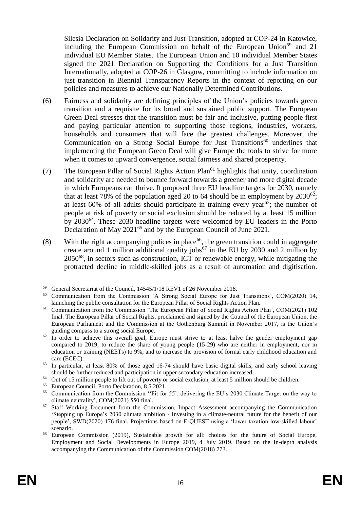Silesia Declaration on Solidarity and Just Transition, adopted at COP-24 in Katowice, including the European Commission on behalf of the European Union<sup>59</sup> and 21 individual EU Member States. The European Union and 10 individual Member States signed the 2021 Declaration on Supporting the Conditions for a Just Transition Internationally, adopted at COP-26 in Glasgow, committing to include information on just transition in Biennial Transparency Reports in the context of reporting on our policies and measures to achieve our Nationally Determined Contributions.

- (6) Fairness and solidarity are defining principles of the Union's policies towards green transition and a requisite for its broad and sustained public support. The European Green Deal stresses that the transition must be fair and inclusive, putting people first and paying particular attention to supporting those regions, industries, workers, households and consumers that will face the greatest challenges. Moreover, the Communication on a Strong Social Europe for Just Transitions<sup>60</sup> underlines that implementing the European Green Deal will give Europe the tools to strive for more when it comes to upward convergence, social fairness and shared prosperity.
- (7) The European Pillar of Social Rights Action Plan<sup>61</sup> highlights that unity, coordination and solidarity are needed to bounce forward towards a greener and more digital decade in which Europeans can thrive. It proposed three EU headline targets for 2030, namely that at least 78% of the population aged 20 to 64 should be in employment by  $2030^{62}$ ; at least  $60\%$  of all adults should participate in training every year<sup>63</sup>; the number of people at risk of poverty or social exclusion should be reduced by at least 15 million by 2030<sup>64</sup>. These 2030 headline targets were welcomed by EU leaders in the Porto Declaration of May 2021<sup>65</sup> and by the European Council of June 2021.
- (8) With the right accompanying polices in place<sup>66</sup>, the green transition could in aggregate create around 1 million additional quality jobs<sup>67</sup> in the EU by 2030 and 2 million by 2050<sup>68</sup>, in sectors such as construction, ICT or renewable energy, while mitigating the protracted decline in middle-skilled jobs as a result of automation and digitisation.

<sup>1</sup> <sup>59</sup> General Secretariat of the Council,  $14545/1/18$  REV1 of 26 November 2018.

<sup>60</sup> Communication from the Commission 'A Strong Social Europe for Just Transitions', COM(2020) 14, launching the public consultation for the European Pillar of Social Rights Action Plan.

<sup>61</sup> Communication from the Commission 'The European Pillar of Social Rights Action Plan', COM(2021) 102 final. The European Pillar of Social Rights, proclaimed and signed by the Council of the European Union, the European Parliament and the Commission at the Gothenburg Summit in November 2017, is the Union's guiding compass to a strong social Europe.

<sup>&</sup>lt;sup>62</sup> In order to achieve this overall goal, Europe must strive to at least halve the gender employment gap compared to 2019; to reduce the share of young people (15-29) who are neither in employment, nor in education or training (NEETs) to 9%, and to increase the provision of formal early childhood education and care (ECEC).

<sup>63</sup> In particular, at least 80% of those aged 16-74 should have basic digital skills, and early school leaving should be further reduced and participation in upper secondary education increased.

 $64$  Out of 15 million people to lift out of poverty or social exclusion, at least 5 million should be children.

<sup>65</sup> European Council, Porto Declaration, 8.5.2021.

<sup>&</sup>lt;sup>66</sup> Communication from the Commission "Fit for 55": delivering the EU's 2030 Climate Target on the way to climate neutrality', COM(2021) 550 final.

<sup>&</sup>lt;sup>67</sup> Staff Working Document from the Commission, Impact Assessment accompanying the Communication 'Stepping up Europe's 2030 climate ambition - Investing in a climate-neutral future for the benefit of our people', SWD(2020) 176 final. Projections based on E-QUEST using a 'lower taxation low-skilled labour' scenario.

<sup>68</sup> European Commission (2019), Sustainable growth for all: choices for the future of Social Europe, Employment and Social Developments in Europe 2019, 4 July 2019. Based on the In-depth analysis accompanying the Communication of the Commission COM(2018) 773.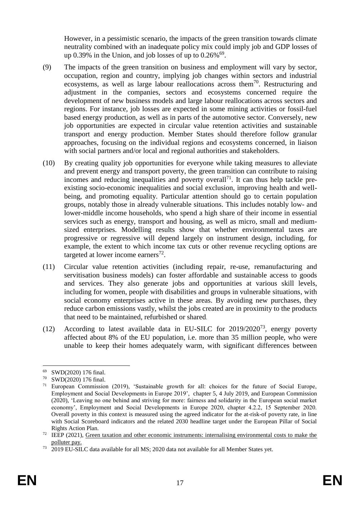However, in a pessimistic scenario, the impacts of the green transition towards climate neutrality combined with an inadequate policy mix could imply job and GDP losses of up 0.39% in the Union, and job losses of up to  $0.26\%$ <sup>69</sup>.

- (9) The impacts of the green transition on business and employment will vary by sector, occupation, region and country, implying job changes within sectors and industrial ecosystems, as well as large labour reallocations across them $70$ . Restructuring and adjustment in the companies, sectors and ecosystems concerned require the development of new business models and large labour reallocations across sectors and regions. For instance, job losses are expected in some mining activities or fossil-fuel based energy production, as well as in parts of the automotive sector. Conversely, new job opportunities are expected in circular value retention activities and sustainable transport and energy production. Member States should therefore follow granular approaches, focusing on the individual regions and ecosystems concerned, in liaison with social partners and/or local and regional authorities and stakeholders.
- (10) By creating quality job opportunities for everyone while taking measures to alleviate and prevent energy and transport poverty, the green transition can contribute to raising incomes and reducing inequalities and poverty overall<sup>71</sup>. It can thus help tackle preexisting socio-economic inequalities and social exclusion, improving health and wellbeing, and promoting equality. Particular attention should go to certain population groups, notably those in already vulnerable situations. This includes notably low- and lower-middle income households, who spend a high share of their income in essential services such as energy, transport and housing, as well as micro, small and mediumsized enterprises. Modelling results show that whether environmental taxes are progressive or regressive will depend largely on instrument design, including, for example, the extent to which income tax cuts or other revenue recycling options are targeted at lower income earners $^{72}$ .
- (11) Circular value retention activities (including repair, re-use, remanufacturing and servitisation business models) can foster affordable and sustainable access to goods and services. They also generate jobs and opportunities at various skill levels, including for women, people with disabilities and groups in vulnerable situations, with social economy enterprises active in these areas. By avoiding new purchases, they reduce carbon emissions vastly, whilst the jobs created are in proximity to the products that need to be maintained, refurbished or shared.
- (12) According to latest available data in EU-SILC for  $2019/2020^{73}$ , energy poverty affected about 8% of the EU population, i.e. more than 35 million people, who were unable to keep their homes adequately warm, with significant differences between

<sup>69</sup> SWD(2020) 176 final.

<sup>70</sup> SWD(2020) 176 final.

 $71$  European Commission (2019), 'Sustainable growth for all: choices for the future of Social Europe, Employment and Social Developments in Europe 2019', chapter 5, 4 July 2019, and European Commission (2020), 'Leaving no one behind and striving for more: fairness and solidarity in the European social market economy', Employment and Social Developments in Europe 2020, chapter 4.2.2, 15 September 2020. Overall poverty in this context is measured using the agreed indicator for the at-risk-of poverty rate, in line with Social Scoreboard indicators and the related 2030 headline target under the European Pillar of Social Rights Action Plan.

<sup>&</sup>lt;sup>72</sup> IEEP (2021), <u>Green taxation and other economic instruments: internalising environmental costs to make the</u> [polluter pay.](https://ec.europa.eu/environment/publications/green-taxation-and-other-economic-instruments-internalising-environmental-costs-make-polluter-pay_en)

<sup>73</sup> 2019 EU-SILC data available for all MS; 2020 data not available for all Member States yet.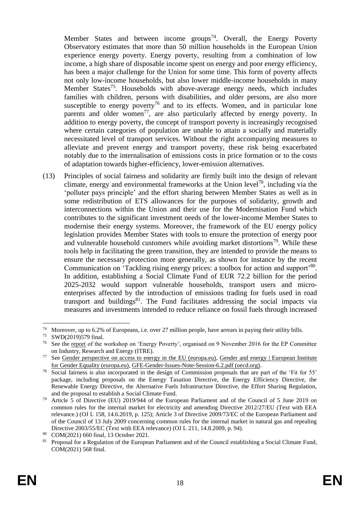Member States and between income groups<sup>74</sup>. Overall, the Energy Poverty Observatory estimates that more than 50 million households in the European Union experience energy poverty. Energy poverty, resulting from a combination of low income, a high share of disposable income spent on energy and poor energy efficiency, has been a major challenge for the Union for some time. This form of poverty affects not only low-income households, but also lower middle-income households in many Member States<sup>75</sup>. Households with above-average energy needs, which includes families with children, persons with disabilities, and older persons, are also more susceptible to energy poverty<sup>76</sup> and to its effects. Women, and in particular lone parents and older women<sup>77</sup>, are also particularly affected by energy poverty. In addition to energy poverty, the concept of transport poverty is increasingly recognised where certain categories of population are unable to attain a socially and materially necessitated level of transport services. Without the right accompanying measures to alleviate and prevent energy and transport poverty, these risk being exacerbated notably due to the internalisation of emissions costs in price formation or to the costs of adaptation towards higher-efficiency, lower-emission alternatives.

(13) Principles of social fairness and solidarity are firmly built into the design of relevant climate, energy and environmental frameworks at the Union level<sup>78</sup>, including via the 'polluter pays principle' and the effort sharing between Member States as well as in some redistribution of ETS allowances for the purposes of solidarity, growth and interconnections within the Union and their use for the Modernisation Fund which contributes to the significant investment needs of the lower-income Member States to modernise their energy systems. Moreover, the framework of the EU energy policy legislation provides Member States with tools to ensure the protection of energy poor and vulnerable household customers while avoiding market distortions<sup>79</sup>. While these tools help in facilitating the green transition, they are intended to provide the means to ensure the necessary protection more generally, as shown for instance by the recent Communication on 'Tackling rising energy prices: a toolbox for action and support'80. In addition, establishing a Social Climate Fund of EUR 72.2 billion for the period 2025-2032 would support vulnerable households, transport users and microenterprises affected by the introduction of emissions trading for fuels used in road transport and buildings<sup>81</sup>. The Fund facilitates addressing the social impacts via measures and investments intended to reduce reliance on fossil fuels through increased

<sup>&</sup>lt;sup>74</sup> Moreover, up to 6.2% of Europeans, i.e. over 27 million people, have arrears in paying their utility bills.<br><sup>75</sup> SWD(2010)570 final

 $^{75}$  SWD(2019)579 final.

See the <u>report</u> of the workshop on 'Energy Poverty', organised on 9 November 2016 for the EP Committee on Industry, Research and Energy (ITRE).

See [Gender perspective on access to energy in the EU \(europa.eu\),](https://www.europarl.europa.eu/RegData/etudes/STUD/2017/596816/IPOL_STU(2017)596816_EN.pdf) Gender and energy | European Institute [for Gender Equality \(europa.eu\),](https://eige.europa.eu/publications/gender-and-energy) [GFE-Gender-Issues-Note-Session-6.2.pdf \(oecd.org\)](https://search.oecd.org/env/GFE-Gender-Issues-Note-Session-6.2.pdf).

Social fairness is also incorporated in the design of Commission proposals that are part of the 'Fit for 55' package, including proposals on the Energy Taxation Directive, the Energy Efficiency Directive, the Renewable Energy Directive, the Alternative Fuels Infrastructure Directive, the Effort Sharing Regulation, and the proposal to establish a Social Climate Fund.

<sup>79</sup> Article 5 of Directive (EU) 2019/944 of the European Parliament and of the Council of 5 June 2019 on common rules for the internal market for electricity and amending Directive 2012/27/EU (Text with EEA relevance.) (OJ L 158, 14.6.2019, p. 125); Article 3 of Directive 2009/73/EC of the European Parliament and of the Council of 13 July 2009 concerning common rules for the internal market in natural gas and repealing Directive 2003/55/EC (Text with EEA relevance) (OJ L 211, 14.8.2009, p. 94).

 $\frac{80}{10}$  COM(2021) 660 final, 13 October 2021.

<sup>81</sup> Proposal for a Regulation of the European Parliament and of the Council establishing a Social Climate Fund, COM(2021) 568 final.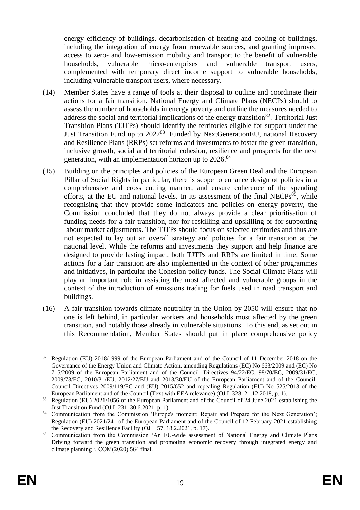energy efficiency of buildings, decarbonisation of heating and cooling of buildings, including the integration of energy from renewable sources, and granting improved access to zero- and low-emission mobility and transport to the benefit of vulnerable households, vulnerable micro-enterprises and vulnerable transport users, complemented with temporary direct income support to vulnerable households, including vulnerable transport users, where necessary.

- (14) Member States have a range of tools at their disposal to outline and coordinate their actions for a fair transition. National Energy and Climate Plans (NECPs) should to assess the number of households in energy poverty and outline the measures needed to address the social and territorial implications of the energy transition<sup>82</sup>. Territorial Just Transition Plans (TJTPs) should identify the territories eligible for support under the Just Transition Fund up to 2027<sup>83</sup>. Funded by NextGenerationEU, national Recovery and Resilience Plans (RRPs) set reforms and investments to foster the green transition, inclusive growth, social and territorial cohesion, resilience and prospects for the next generation, with an implementation horizon up to 2026.<sup>84</sup>
- (15) Building on the principles and policies of the European Green Deal and the European Pillar of Social Rights in particular, there is scope to enhance design of policies in a comprehensive and cross cutting manner, and ensure coherence of the spending efforts, at the EU and national levels. In its assessment of the final NECPs $^{85}$ , while recognising that they provide some indicators and policies on energy poverty, the Commission concluded that they do not always provide a clear prioritisation of funding needs for a fair transition, nor for reskilling and upskilling or for supporting labour market adjustments. The TJTPs should focus on selected territories and thus are not expected to lay out an overall strategy and policies for a fair transition at the national level. While the reforms and investments they support and help finance are designed to provide lasting impact, both TJTPs and RRPs are limited in time. Some actions for a fair transition are also implemented in the context of other programmes and initiatives, in particular the Cohesion policy funds. The Social Climate Plans will play an important role in assisting the most affected and vulnerable groups in the context of the introduction of emissions trading for fuels used in road transport and buildings.
- (16) A fair transition towards climate neutrality in the Union by 2050 will ensure that no one is left behind, in particular workers and households most affected by the green transition, and notably those already in vulnerable situations. To this end, as set out in this Recommendation, Member States should put in place comprehensive policy

<sup>1</sup> <sup>82</sup> Regulation (EU) 2018/1999 of the European Parliament and of the Council of 11 December 2018 on the Governance of the Energy Union and Climate Action, amending Regulations (EC) No 663/2009 and (EC) No 715/2009 of the European Parliament and of the Council, Directives 94/22/EC, 98/70/EC, 2009/31/EC, 2009/73/EC, 2010/31/EU, 2012/27/EU and 2013/30/EU of the European Parliament and of the Council, Council Directives 2009/119/EC and (EU) 2015/652 and repealing Regulation (EU) No 525/2013 of the European Parliament and of the Council (Text with EEA relevance) (OJ L 328, 21.12.2018, p. 1).

<sup>83</sup> Regulation (EU) 2021/1056 of the European Parliament and of the Council of 24 June 2021 establishing the Just Transition Fund (OJ L 231, 30.6.2021, p. 1).

<sup>&</sup>lt;sup>84</sup> Communication from the Commission 'Europe's moment: Repair and Prepare for the Next Generation'; Regulation (EU) 2021/241 of the European Parliament and of the Council of 12 February 2021 establishing the Recovery and Resilience Facility (OJ L 57, 18.2.2021, p. 17).

<sup>&</sup>lt;sup>85</sup> Communication from the Commission 'An EU-wide assessment of National Energy and Climate Plans Driving forward the green transition and promoting economic recovery through integrated energy and climate planning ', COM(2020) 564 final.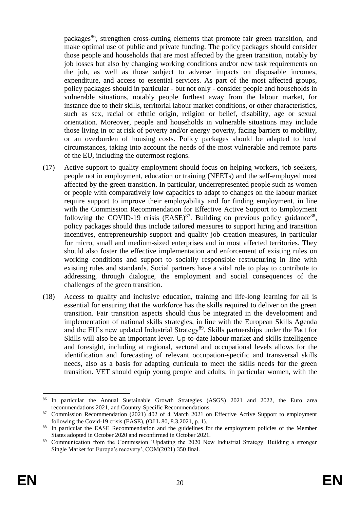packages<sup>86</sup>, strengthen cross-cutting elements that promote fair green transition, and make optimal use of public and private funding. The policy packages should consider those people and households that are most affected by the green transition, notably by job losses but also by changing working conditions and/or new task requirements on the job, as well as those subject to adverse impacts on disposable incomes, expenditure, and access to essential services. As part of the most affected groups, policy packages should in particular - but not only - consider people and households in vulnerable situations, notably people furthest away from the labour market, for instance due to their skills, territorial labour market conditions, or other characteristics, such as sex, racial or ethnic origin, religion or belief, disability, age or sexual orientation. Moreover, people and households in vulnerable situations may include those living in or at risk of poverty and/or energy poverty, facing barriers to mobility, or an overburden of housing costs. Policy packages should be adapted to local circumstances, taking into account the needs of the most vulnerable and remote parts of the EU, including the outermost regions.

- (17) Active support to quality employment should focus on helping workers, job seekers, people not in employment, education or training (NEETs) and the self-employed most affected by the green transition. In particular, underrepresented people such as women or people with comparatively low capacities to adapt to changes on the labour market require support to improve their employability and for finding employment, in line with the Commission Recommendation for Effective Active Support to Employment following the COVID-19 crisis  $(EASE)^{87}$ . Building on previous policy guidance<sup>88</sup>, policy packages should thus include tailored measures to support hiring and transition incentives, entrepreneurship support and quality job creation measures, in particular for micro, small and medium-sized enterprises and in most affected territories. They should also foster the effective implementation and enforcement of existing rules on working conditions and support to socially responsible restructuring in line with existing rules and standards. Social partners have a vital role to play to contribute to addressing, through dialogue, the employment and social consequences of the challenges of the green transition.
- (18) Access to quality and inclusive education, training and life-long learning for all is essential for ensuring that the workforce has the skills required to deliver on the green transition. Fair transition aspects should thus be integrated in the development and implementation of national skills strategies, in line with the European Skills Agenda and the EU's new updated Industrial Strategy<sup>89</sup>. Skills partnerships under the Pact for Skills will also be an important lever. Up-to-date labour market and skills intelligence and foresight, including at regional, sectoral and occupational levels allows for the identification and forecasting of relevant occupation-specific and transversal skills needs, also as a basis for adapting curricula to meet the skills needs for the green transition. VET should equip young people and adults, in particular women, with the

<sup>86</sup> In particular the Annual Sustainable Growth Strategies (ASGS) 2021 and 2022, the Euro area recommendations 2021, and Country-Specific Recommendations.

<sup>87</sup> Commission Recommendation (2021) 402 of 4 March 2021 on Effective Active Support to employment following the Covid-19 crisis (EASE), (OJ L 80, 8.3.2021, p. 1).

<sup>&</sup>lt;sup>88</sup> In particular the EASE Recommendation and the guidelines for the employment policies of the Member States adopted in October 2020 and reconfirmed in October 2021.

<sup>89</sup> Communication from the Commission 'Updating the 2020 New Industrial Strategy: Building a stronger Single Market for Europe's recovery', COM(2021) 350 final.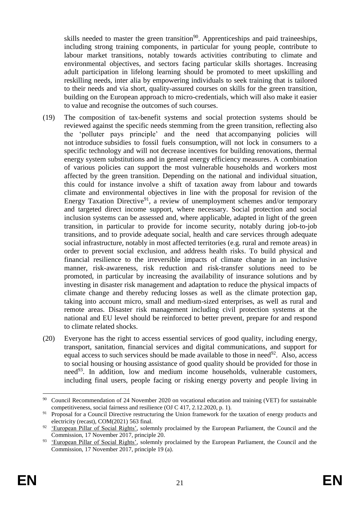skills needed to master the green transition<sup>90</sup>. Apprenticeships and paid traineeships, including strong training components, in particular for young people, contribute to labour market transitions, notably towards activities contributing to climate and environmental objectives, and sectors facing particular skills shortages. Increasing adult participation in lifelong learning should be promoted to meet upskilling and reskilling needs, inter alia by empowering individuals to seek training that is tailored to their needs and via short, quality-assured courses on skills for the green transition, building on the European approach to micro-credentials, which will also make it easier to value and recognise the outcomes of such courses.

- (19) The composition of tax-benefit systems and social protection systems should be reviewed against the specific needs stemming from the green transition, reflecting also the 'polluter pays principle' and the need that accompanying policies will not introduce subsidies to fossil fuels consumption, will not lock in consumers to a specific technology and will not decrease incentives for building renovations, thermal energy system substitutions and in general energy efficiency measures. A combination of various policies can support the most vulnerable households and workers most affected by the green transition. Depending on the national and individual situation, this could for instance involve a shift of taxation away from labour and towards climate and environmental objectives in line with the proposal for revision of the Energy Taxation Directive<sup>91</sup>, a review of unemployment schemes and/or temporary and targeted direct income support, where necessary. Social protection and social inclusion systems can be assessed and, where applicable, adapted in light of the green transition, in particular to provide for income security, notably during job-to-job transitions, and to provide adequate social, health and care services through adequate social infrastructure, notably in most affected territories (e.g. rural and remote areas) in order to prevent social exclusion, and address health risks. To build physical and financial resilience to the irreversible impacts of climate change in an inclusive manner, risk-awareness, risk reduction and risk-transfer solutions need to be promoted, in particular by increasing the availability of insurance solutions and by investing in disaster risk management and adaptation to reduce the physical impacts of climate change and thereby reducing losses as well as the climate protection gap, taking into account micro, small and medium-sized enterprises, as well as rural and remote areas. Disaster risk management including civil protection systems at the national and EU level should be reinforced to better prevent, prepare for and respond to climate related shocks.
- (20) Everyone has the right to access essential services of good quality, including energy, transport, sanitation, financial services and digital communications, and support for equal access to such services should be made available to those in need<sup>92</sup>. Also, access to social housing or housing assistance of good quality should be provided for those in need<sup>93</sup>. In addition, low and medium income households, vulnerable customers, including final users, people facing or risking energy poverty and people living in

<sup>1</sup> <sup>90</sup> Council Recommendation of 24 November 2020 on vocational education and training (VET) for sustainable competitiveness, social fairness and resilience (OJ C 417, 2.12.2020, p. 1).

<sup>91</sup> Proposal for a Council Directive restructuring the Union framework for the taxation of energy products and electricity (recast), COM(2021) 563 final.

<sup>&</sup>lt;sup>92</sup> ['European Pillar of Social Rights',](http://ec.europa.eu/info/sites/default/files/social-summit-european-pillar-social-rights-booklet_en.pdf) solemnly proclaimed by the European Parliament, the Council and the Commission, 17 November 2017, principle 20.

<sup>&</sup>lt;sup>93</sup> ['European Pillar of Social Rights',](http://ec.europa.eu/info/sites/default/files/social-summit-european-pillar-social-rights-booklet_en.pdf) solemnly proclaimed by the European Parliament, the Council and the Commission, 17 November 2017, principle 19 (a).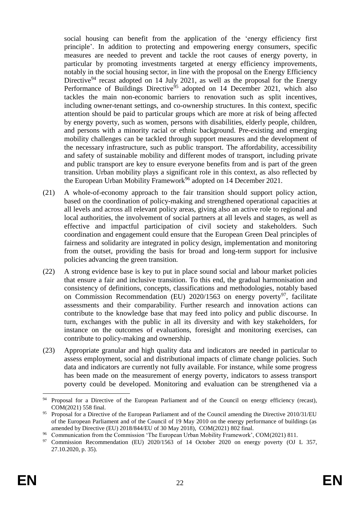social housing can benefit from the application of the 'energy efficiency first principle'. In addition to protecting and empowering energy consumers, specific measures are needed to prevent and tackle the root causes of energy poverty, in particular by promoting investments targeted at energy efficiency improvements, notably in the social housing sector, in line with the proposal on the Energy Efficiency Directive<sup>94</sup> recast adopted on 14 July 2021, as well as the proposal for the Energy Performance of Buildings Directive<sup>95</sup> adopted on 14 December 2021, which also tackles the main non-economic barriers to renovation such as split incentives, including owner-tenant settings, and co-ownership structures. In this context, specific attention should be paid to particular groups which are more at risk of being affected by energy poverty, such as women, persons with disabilities, elderly people, children, and persons with a minority racial or ethnic background. Pre-existing and emerging mobility challenges can be tackled through support measures and the development of the necessary infrastructure, such as public transport. The affordability, accessibility and safety of sustainable mobility and different modes of transport, including private and public transport are key to ensure everyone benefits from and is part of the green transition. Urban mobility plays a significant role in this context, as also reflected by the European Urban Mobility Framework<sup>96</sup> adopted on 14 December 2021.

- (21) A whole-of-economy approach to the fair transition should support policy action, based on the coordination of policy-making and strengthened operational capacities at all levels and across all relevant policy areas, giving also an active role to regional and local authorities, the involvement of social partners at all levels and stages, as well as effective and impactful participation of civil society and stakeholders. Such coordination and engagement could ensure that the European Green Deal principles of fairness and solidarity are integrated in policy design, implementation and monitoring from the outset, providing the basis for broad and long-term support for inclusive policies advancing the green transition.
- (22) A strong evidence base is key to put in place sound social and labour market policies that ensure a fair and inclusive transition. To this end, the gradual harmonisation and consistency of definitions, concepts, classifications and methodologies, notably based on Commission Recommendation (EU)  $2020/1563$  on energy poverty<sup>97</sup>, facilitate assessments and their comparability. Further research and innovation actions can contribute to the knowledge base that may feed into policy and public discourse. In turn, exchanges with the public in all its diversity and with key stakeholders, for instance on the outcomes of evaluations, foresight and monitoring exercises, can contribute to policy-making and ownership.
- (23) Appropriate granular and high quality data and indicators are needed in particular to assess employment, social and distributional impacts of climate change policies. Such data and indicators are currently not fully available. For instance, while some progress has been made on the measurement of energy poverty, indicators to assess transport poverty could be developed. Monitoring and evaluation can be strengthened via a

<sup>&</sup>lt;sup>94</sup> Proposal for a Directive of the European Parliament and of the Council on energy efficiency (recast), COM(2021) 558 final.

<sup>95</sup> Proposal for a Directive of the European Parliament and of the Council amending the Directive 2010/31/EU of the European Parliament and of the Council of 19 May 2010 on the energy performance of buildings (as amended by Directive (EU) 2018/844/EU of 30 May 2018), COM(2021) 802 final.

<sup>&</sup>lt;sup>96</sup> Communication from the Commission 'The European Urban Mobility Framework', COM(2021) 811.<br><sup>97</sup> Commission, Becommendation (EU) 2020/1563 of 14 October 2020 on energy poverty (OI)

<sup>97</sup> Commission Recommendation (EU) 2020/1563 of 14 October 2020 on energy poverty (OJ L 357, 27.10.2020, p. 35).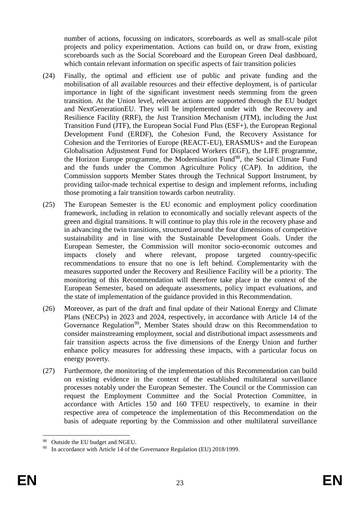number of actions, focussing on indicators, scoreboards as well as small-scale pilot projects and policy experimentation. Actions can build on, or draw from, existing scoreboards such as the Social Scoreboard and the European Green Deal dashboard, which contain relevant information on specific aspects of fair transition policies

- (24) Finally, the optimal and efficient use of public and private funding and the mobilisation of all available resources and their effective deployment, is of particular importance in light of the significant investment needs stemming from the green transition. At the Union level, relevant actions are supported through the EU budget and NextGenerationEU. They will be implemented under with the Recovery and Resilience Facility (RRF), the Just Transition Mechanism (JTM), including the Just Transition Fund (JTF), the European Social Fund Plus (ESF+), the European Regional Development Fund (ERDF), the Cohesion Fund, the Recovery Assistance for Cohesion and the Territories of Europe (REACT-EU), ERASMUS+ and the European Globalisation Adjustment Fund for Displaced Workers (EGF), the LIFE programme, the Horizon Europe programme, the Modernisation Fund<sup>98</sup>, the Social Climate Fund and the funds under the Common Agriculture Policy (CAP). In addition, the Commission supports Member States through the Technical Support Instrument, by providing tailor-made technical expertise to design and implement reforms, including those promoting a fair transition towards carbon neutrality.
- (25) The European Semester is the EU economic and employment policy coordination framework, including in relation to economically and socially relevant aspects of the green and digital transitions. It will continue to play this role in the recovery phase and in advancing the twin transitions, structured around the four dimensions of competitive sustainability and in line with the Sustainable Development Goals. Under the European Semester, the Commission will monitor socio-economic outcomes and impacts closely and where relevant, propose targeted country-specific recommendations to ensure that no one is left behind. Complementarity with the measures supported under the Recovery and Resilience Facility will be a priority. The monitoring of this Recommendation will therefore take place in the context of the European Semester, based on adequate assessments, policy impact evaluations, and the state of implementation of the guidance provided in this Recommendation.
- (26) Moreover, as part of the draft and final update of their National Energy and Climate Plans (NECPs) in 2023 and 2024, respectively, in accordance with Article 14 of the Governance Regulation<sup>99</sup>, Member States should draw on this Recommendation to consider mainstreaming employment, social and distributional impact assessments and fair transition aspects across the five dimensions of the Energy Union and further enhance policy measures for addressing these impacts, with a particular focus on energy poverty.
- (27) Furthermore, the monitoring of the implementation of this Recommendation can build on existing evidence in the context of the established multilateral surveillance processes notably under the European Semester. The Council or the Commission can request the Employment Committee and the Social Protection Committee, in accordance with Articles 150 and 160 TFEU respectively, to examine in their respective area of competence the implementation of this Recommendation on the basis of adequate reporting by the Commission and other multilateral surveillance

<sup>1</sup> <sup>98</sup> Outside the EU budget and NGEU.

<sup>99</sup> In accordance with Article 14 of the Governance Regulation (EU) 2018/1999.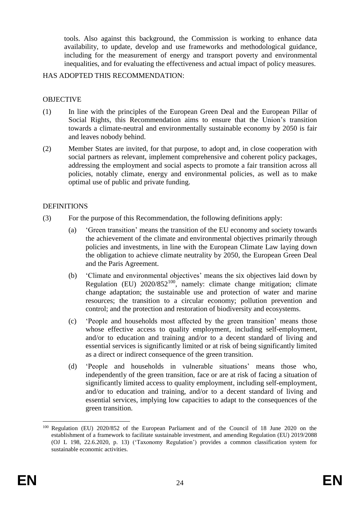tools. Also against this background, the Commission is working to enhance data availability, to update, develop and use frameworks and methodological guidance, including for the measurement of energy and transport poverty and environmental inequalities, and for evaluating the effectiveness and actual impact of policy measures.

#### HAS ADOPTED THIS RECOMMENDATION:

#### OBJECTIVE

- (1) In line with the principles of the European Green Deal and the European Pillar of Social Rights, this Recommendation aims to ensure that the Union's transition towards a climate-neutral and environmentally sustainable economy by 2050 is fair and leaves nobody behind.
- (2) Member States are invited, for that purpose, to adopt and, in close cooperation with social partners as relevant, implement comprehensive and coherent policy packages, addressing the employment and social aspects to promote a fair transition across all policies, notably climate, energy and environmental policies, as well as to make optimal use of public and private funding.

#### **DEFINITIONS**

- (3) For the purpose of this Recommendation, the following definitions apply:
	- (a) 'Green transition' means the transition of the EU economy and society towards the achievement of the climate and environmental objectives primarily through policies and investments, in line with the European Climate Law laying down the obligation to achieve climate neutrality by 2050, the European Green Deal and the Paris Agreement.
	- (b) 'Climate and environmental objectives' means the six objectives laid down by Regulation (EU)  $2020/852^{100}$ , namely: climate change mitigation; climate change adaptation; the sustainable use and protection of water and marine resources; the transition to a circular economy; pollution prevention and control; and the protection and restoration of biodiversity and ecosystems.
	- (c) 'People and households most affected by the green transition' means those whose effective access to quality employment, including self-employment, and/or to education and training and/or to a decent standard of living and essential services is significantly limited or at risk of being significantly limited as a direct or indirect consequence of the green transition.
	- (d) 'People and households in vulnerable situations' means those who, independently of the green transition, face or are at risk of facing a situation of significantly limited access to quality employment, including self-employment, and/or to education and training, and/or to a decent standard of living and essential services, implying low capacities to adapt to the consequences of the green transition.

<sup>1</sup> <sup>100</sup> Regulation (EU) 2020/852 of the European Parliament and of the Council of 18 June 2020 on the establishment of a framework to facilitate sustainable investment, and amending Regulation (EU) 2019/2088 (OJ L 198, 22.6.2020, p. 13) ('Taxonomy Regulation') provides a common classification system for sustainable economic activities.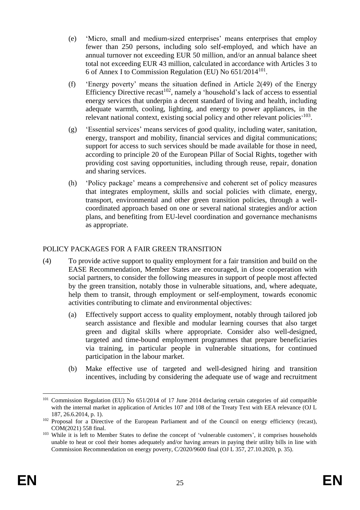- (e) 'Micro, small and medium-sized enterprises' means enterprises that employ fewer than 250 persons, including solo self-employed, and which have an annual turnover not exceeding EUR 50 million, and/or an annual balance sheet total not exceeding EUR 43 million, calculated in accordance with Articles 3 to 6 of Annex I to Commission Regulation (EU) No  $651/2014^{101}$ .
- (f) 'Energy poverty' means the situation defined in Article 2(49) of the Energy Efficiency Directive recast<sup>102</sup>, namely a 'household's lack of access to essential energy services that underpin a decent standard of living and health, including adequate warmth, cooling, lighting, and energy to power appliances, in the relevant national context, existing social policy and other relevant policies<sup>, 103</sup>.
- (g) 'Essential services' means services of good quality, including water, sanitation, energy, transport and mobility, financial services and digital communications; support for access to such services should be made available for those in need, according to principle 20 of the European Pillar of Social Rights, together with providing cost saving opportunities, including through reuse, repair, donation and sharing services.
- (h) 'Policy package' means a comprehensive and coherent set of policy measures that integrates employment, skills and social policies with climate, energy, transport, environmental and other green transition policies, through a wellcoordinated approach based on one or several national strategies and/or action plans, and benefiting from EU-level coordination and governance mechanisms as appropriate.

## POLICY PACKAGES FOR A FAIR GREEN TRANSITION

- (4) To provide active support to quality employment for a fair transition and build on the EASE Recommendation, Member States are encouraged, in close cooperation with social partners, to consider the following measures in support of people most affected by the green transition, notably those in vulnerable situations, and, where adequate, help them to transit, through employment or self-employment, towards economic activities contributing to climate and environmental objectives:
	- (a) Effectively support access to quality employment, notably through tailored job search assistance and flexible and modular learning courses that also target green and digital skills where appropriate. Consider also well-designed, targeted and time-bound employment programmes that prepare beneficiaries via training, in particular people in vulnerable situations, for continued participation in the labour market.
	- (b) Make effective use of targeted and well-designed hiring and transition incentives, including by considering the adequate use of wage and recruitment

<sup>&</sup>lt;sup>101</sup> Commission Regulation (EU) No 651/2014 of 17 June 2014 declaring certain categories of aid compatible with the internal market in application of Articles 107 and 108 of the Treaty Text with EEA relevance (OJ L 187, 26.6.2014, p. 1).

<sup>&</sup>lt;sup>102</sup> Proposal for a Directive of the European Parliament and of the Council on energy efficiency (recast), COM(2021) 558 final.

<sup>&</sup>lt;sup>103</sup> While it is left to Member States to define the concept of 'vulnerable customers', it comprises households unable to heat or cool their homes adequately and/or having arrears in paying their utility bills in line with Commission Recommendation on energy poverty, C/2020/9600 final (OJ L 357, 27.10.2020, p. 35).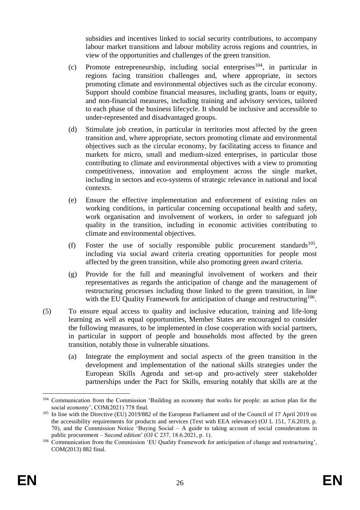subsidies and incentives linked to social security contributions, to accompany labour market transitions and labour mobility across regions and countries, in view of the opportunities and challenges of the green transition.

- (c) Promote entrepreneurship, including social enterprises<sup>104</sup>, in particular in regions facing transition challenges and, where appropriate, in sectors promoting climate and environmental objectives such as the circular economy. Support should combine financial measures, including grants, loans or equity, and non-financial measures, including training and advisory services, tailored to each phase of the business lifecycle. It should be inclusive and accessible to under-represented and disadvantaged groups.
- (d) Stimulate job creation, in particular in territories most affected by the green transition and, where appropriate, sectors promoting climate and environmental objectives such as the circular economy, by facilitating access to finance and markets for micro, small and medium-sized enterprises, in particular those contributing to climate and environmental objectives with a view to promoting competitiveness, innovation and employment across the single market, including in sectors and eco-systems of strategic relevance in national and local contexts.
- (e) Ensure the effective implementation and enforcement of existing rules on working conditions, in particular concerning occupational health and safety, work organisation and involvement of workers, in order to safeguard job quality in the transition, including in economic activities contributing to climate and environmental objectives.
- (f) Foster the use of socially responsible public procurement standards<sup>105</sup>, including via social award criteria creating opportunities for people most affected by the green transition, while also promoting green award criteria.
- (g) Provide for the full and meaningful involvement of workers and their representatives as regards the anticipation of change and the management of restructuring processes including those linked to the green transition, in line with the EU Quality Framework for anticipation of change and restructuring<sup>106</sup>.
- (5) To ensure equal access to quality and inclusive education, training and life-long learning as well as equal opportunities, Member States are encouraged to consider the following measures, to be implemented in close cooperation with social partners, in particular in support of people and households most affected by the green transition, notably those in vulnerable situations.
	- (a) Integrate the employment and social aspects of the green transition in the development and implementation of the national skills strategies under the European Skills Agenda and set-up and pro-actively steer stakeholder partnerships under the Pact for Skills, ensuring notably that skills are at the

<sup>104</sup> Communication from the Commission 'Building an economy that works for people: an action plan for the social economy', COM(2021) 778 final.

<sup>&</sup>lt;sup>105</sup> In line with the Directive (EU) 2019/882 of the European Parliament and of the Council of 17 April 2019 on the accessibility requirements for products and services (Text with EEA relevance) (OJ L 151, 7.6.2019, p. 70), and the Commission Notice 'Buying Social – A guide to taking account of social considerations in public procurement – Second edition' (OJ C 237, 18.6.2021, p. 1).

<sup>106</sup> Communication from the Commission 'EU Quality Framework for anticipation of change and restructuring', COM(2013) 882 final.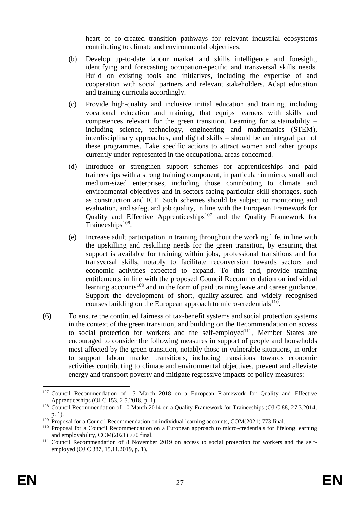heart of co-created transition pathways for relevant industrial ecosystems contributing to climate and environmental objectives.

- (b) Develop up-to-date labour market and skills intelligence and foresight, identifying and forecasting occupation-specific and transversal skills needs. Build on existing tools and initiatives, including the expertise of and cooperation with social partners and relevant stakeholders. Adapt education and training curricula accordingly.
- (c) Provide high-quality and inclusive initial education and training, including vocational education and training, that equips learners with skills and competences relevant for the green transition. Learning for sustainability – including science, technology, engineering and mathematics (STEM), interdisciplinary approaches, and digital skills – should be an integral part of these programmes. Take specific actions to attract women and other groups currently under-represented in the occupational areas concerned.
- (d) Introduce or strengthen support schemes for apprenticeships and paid traineeships with a strong training component, in particular in micro, small and medium-sized enterprises, including those contributing to climate and environmental objectives and in sectors facing particular skill shortages, such as construction and ICT. Such schemes should be subject to monitoring and evaluation, and safeguard job quality, in line with the European Framework for Quality and Effective Apprenticeships<sup>107</sup> and the Quality Framework for Traineeships $108$ .
- (e) Increase adult participation in training throughout the working life, in line with the upskilling and reskilling needs for the green transition, by ensuring that support is available for training within jobs, professional transitions and for transversal skills, notably to facilitate reconversion towards sectors and economic activities expected to expand. To this end, provide training entitlements in line with the proposed Council Recommendation on individual learning accounts<sup>109</sup> and in the form of paid training leave and career guidance. Support the development of short, quality-assured and widely recognised courses building on the European approach to micro-credentials $110$ .
- (6) To ensure the continued fairness of tax-benefit systems and social protection systems in the context of the green transition, and building on the Recommendation on access to social protection for workers and the self-employed<sup>111</sup>, Member States are encouraged to consider the following measures in support of people and households most affected by the green transition, notably those in vulnerable situations, in order to support labour market transitions, including transitions towards economic activities contributing to climate and environmental objectives, prevent and alleviate energy and transport poverty and mitigate regressive impacts of policy measures:

<sup>&</sup>lt;sup>107</sup> Council Recommendation of 15 March 2018 on a European Framework for Quality and Effective Apprenticeships (OJ C 153, 2.5.2018, p. 1).

<sup>&</sup>lt;sup>108</sup> Council Recommendation of 10 March 2014 on a Quality Framework for Traineeships (OJ C 88, 27.3.2014, p. 1).

 $109$  Proposal for a Council Recommendation on individual learning accounts, COM(2021) 773 final.

<sup>&</sup>lt;sup>110</sup> Proposal for a Council Recommendation on a European approach to micro-credentials for lifelong learning and employability, COM(2021) 770 final.

<sup>111</sup> Council Recommendation of 8 November 2019 on access to social protection for workers and the selfemployed (OJ C 387, 15.11.2019, p. 1).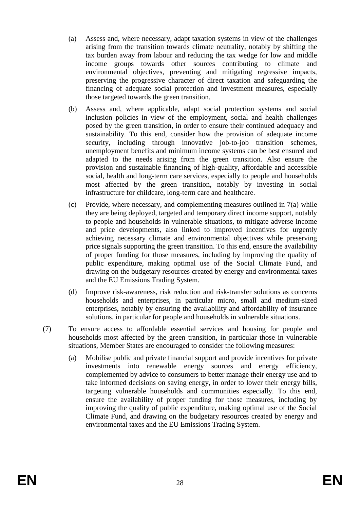- (a) Assess and, where necessary, adapt taxation systems in view of the challenges arising from the transition towards climate neutrality, notably by shifting the tax burden away from labour and reducing the tax wedge for low and middle income groups towards other sources contributing to climate and environmental objectives, preventing and mitigating regressive impacts, preserving the progressive character of direct taxation and safeguarding the financing of adequate social protection and investment measures, especially those targeted towards the green transition.
- (b) Assess and, where applicable, adapt social protection systems and social inclusion policies in view of the employment, social and health challenges posed by the green transition, in order to ensure their continued adequacy and sustainability. To this end, consider how the provision of adequate income security, including through innovative job-to-job transition schemes, unemployment benefits and minimum income systems can be best ensured and adapted to the needs arising from the green transition. Also ensure the provision and sustainable financing of high-quality, affordable and accessible social, health and long-term care services, especially to people and households most affected by the green transition, notably by investing in social infrastructure for childcare, long-term care and healthcare.
- (c) Provide, where necessary, and complementing measures outlined in 7(a) while they are being deployed, targeted and temporary direct income support, notably to people and households in vulnerable situations, to mitigate adverse income and price developments, also linked to improved incentives for urgently achieving necessary climate and environmental objectives while preserving price signals supporting the green transition. To this end, ensure the availability of proper funding for those measures, including by improving the quality of public expenditure, making optimal use of the Social Climate Fund, and drawing on the budgetary resources created by energy and environmental taxes and the EU Emissions Trading System.
- (d) Improve risk-awareness, risk reduction and risk-transfer solutions as concerns households and enterprises, in particular micro, small and medium-sized enterprises, notably by ensuring the availability and affordability of insurance solutions, in particular for people and households in vulnerable situations.
- (7) To ensure access to affordable essential services and housing for people and households most affected by the green transition, in particular those in vulnerable situations, Member States are encouraged to consider the following measures:
	- (a) Mobilise public and private financial support and provide incentives for private investments into renewable energy sources and energy efficiency, complemented by advice to consumers to better manage their energy use and to take informed decisions on saving energy, in order to lower their energy bills, targeting vulnerable households and communities especially. To this end, ensure the availability of proper funding for those measures, including by improving the quality of public expenditure, making optimal use of the Social Climate Fund, and drawing on the budgetary resources created by energy and environmental taxes and the EU Emissions Trading System.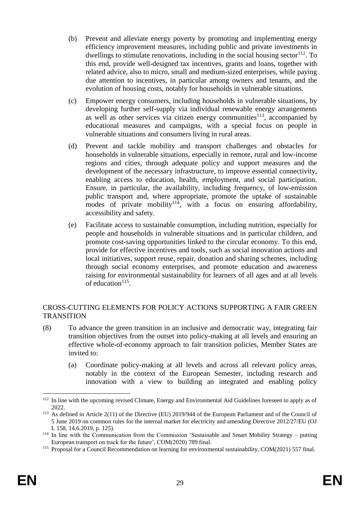- (b) Prevent and alleviate energy poverty by promoting and implementing energy efficiency improvement measures, including public and private investments in dwellings to stimulate renovations, including in the social housing sector  $112$ . To this end, provide well-designed tax incentives, grants and loans, together with related advice, also to micro, small and medium-sized enterprises, while paying due attention to incentives, in particular among owners and tenants, and the evolution of housing costs, notably for households in vulnerable situations.
- (c) Empower energy consumers, including households in vulnerable situations, by developing further self-supply via individual renewable energy arrangements as well as other services via citizen energy communities $113$ , accompanied by educational measures and campaigns, with a special focus on people in vulnerable situations and consumers living in rural areas.
- (d) Prevent and tackle mobility and transport challenges and obstacles for households in vulnerable situations, especially in remote, rural and low-income regions and cities, through adequate policy and support measures and the development of the necessary infrastructure, to improve essential connectivity, enabling access to education, health, employment, and social participation. Ensure, in particular, the availability, including frequency, of low-emission public transport and, where appropriate, promote the uptake of sustainable modes of private mobility<sup>114</sup>, with a focus on ensuring affordability, accessibility and safety.
- (e) Facilitate access to sustainable consumption, including nutrition, especially for people and households in vulnerable situations and in particular children, and promote cost-saving opportunities linked to the circular economy. To this end, provide for effective incentives and tools, such as social innovation actions and local initiatives, support reuse, repair, donation and sharing schemes, including through social economy enterprises, and promote education and awareness raising for environmental sustainability for learners of all ages and at all levels of education $115$ .

## CROSS-CUTTING ELEMENTS FOR POLICY ACTIONS SUPPORTING A FAIR GREEN **TRANSITION**

- (8) To advance the green transition in an inclusive and democratic way, integrating fair transition objectives from the outset into policy-making at all levels and ensuring an effective whole-of-economy approach to fair transition policies, Member States are invited to:
	- (a) Coordinate policy-making at all levels and across all relevant policy areas, notably in the context of the European Semester, including research and innovation with a view to building an integrated and enabling policy

<sup>&</sup>lt;sup>112</sup> In line with the upcoming revised Climate, Energy and Environmental Aid Guidelines foreseen to apply as of 2022.

<sup>113</sup> As defined in Article 2(11) of the Directive (EU) 2019/944 of the European Parliament and of the Council of 5 June 2019 on common rules for the internal market for electricity and amending Directive 2012/27/EU (OJ L 158, 14.6.2019, p. 125).

 $114$  In line with the Communication from the Commission 'Sustainable and Smart Mobility Strategy – putting European transport on track for the future', COM(2020) 789 final.

<sup>&</sup>lt;sup>115</sup> Proposal for a Council Recommendation on learning for environmental sustainability, COM(2021) 557 final.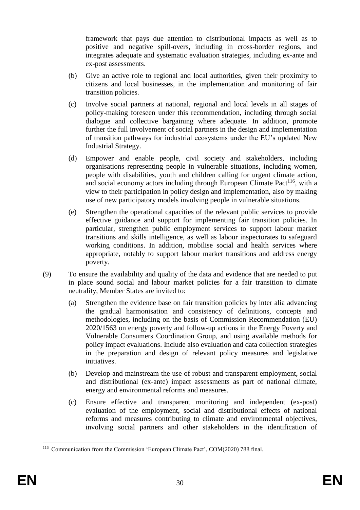framework that pays due attention to distributional impacts as well as to positive and negative spill-overs, including in cross-border regions, and integrates adequate and systematic evaluation strategies, including ex-ante and ex-post assessments.

- (b) Give an active role to regional and local authorities, given their proximity to citizens and local businesses, in the implementation and monitoring of fair transition policies.
- (c) Involve social partners at national, regional and local levels in all stages of policy-making foreseen under this recommendation, including through social dialogue and collective bargaining where adequate. In addition, promote further the full involvement of social partners in the design and implementation of transition pathways for industrial ecosystems under the EU's updated New Industrial Strategy.
- (d) Empower and enable people, civil society and stakeholders, including organisations representing people in vulnerable situations, including women, people with disabilities, youth and children calling for urgent climate action, and social economy actors including through European Climate Pact<sup>116</sup>, with a view to their participation in policy design and implementation, also by making use of new participatory models involving people in vulnerable situations.
- (e) Strengthen the operational capacities of the relevant public services to provide effective guidance and support for implementing fair transition policies. In particular, strengthen public employment services to support labour market transitions and skills intelligence, as well as labour inspectorates to safeguard working conditions. In addition, mobilise social and health services where appropriate, notably to support labour market transitions and address energy poverty.
- (9) To ensure the availability and quality of the data and evidence that are needed to put in place sound social and labour market policies for a fair transition to climate neutrality, Member States are invited to:
	- (a) Strengthen the evidence base on fair transition policies by inter alia advancing the gradual harmonisation and consistency of definitions, concepts and methodologies, including on the basis of Commission Recommendation (EU) 2020/1563 on energy poverty and follow-up actions in the Energy Poverty and Vulnerable Consumers Coordination Group, and using available methods for policy impact evaluations. Include also evaluation and data collection strategies in the preparation and design of relevant policy measures and legislative initiatives.
	- (b) Develop and mainstream the use of robust and transparent employment, social and distributional (ex-ante) impact assessments as part of national climate, energy and environmental reforms and measures.
	- (c) Ensure effective and transparent monitoring and independent (ex-post) evaluation of the employment, social and distributional effects of national reforms and measures contributing to climate and environmental objectives, involving social partners and other stakeholders in the identification of

<u>.</u>

<sup>116</sup> Communication from the Commission 'European Climate Pact', COM(2020) 788 final.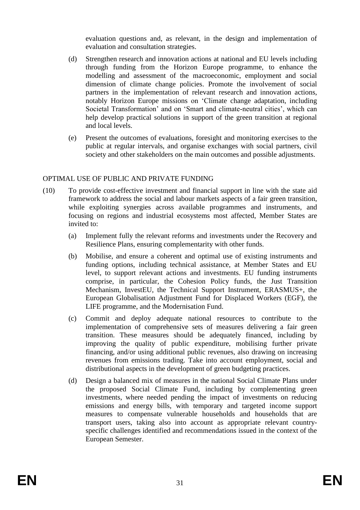evaluation questions and, as relevant, in the design and implementation of evaluation and consultation strategies.

- (d) Strengthen research and innovation actions at national and EU levels including through funding from the Horizon Europe programme, to enhance the modelling and assessment of the macroeconomic, employment and social dimension of climate change policies. Promote the involvement of social partners in the implementation of relevant research and innovation actions, notably Horizon Europe missions on 'Climate change adaptation, including Societal Transformation' and on 'Smart and climate-neutral cities', which can help develop practical solutions in support of the green transition at regional and local levels.
- (e) Present the outcomes of evaluations, foresight and monitoring exercises to the public at regular intervals, and organise exchanges with social partners, civil society and other stakeholders on the main outcomes and possible adjustments.

#### OPTIMAL USE OF PUBLIC AND PRIVATE FUNDING

- (10) To provide cost-effective investment and financial support in line with the state aid framework to address the social and labour markets aspects of a fair green transition, while exploiting synergies across available programmes and instruments, and focusing on regions and industrial ecosystems most affected, Member States are invited to:
	- (a) Implement fully the relevant reforms and investments under the Recovery and Resilience Plans, ensuring complementarity with other funds.
	- (b) Mobilise, and ensure a coherent and optimal use of existing instruments and funding options, including technical assistance, at Member States and EU level, to support relevant actions and investments. EU funding instruments comprise, in particular, the Cohesion Policy funds, the Just Transition Mechanism, InvestEU, the Technical Support Instrument, ERASMUS+, the European Globalisation Adjustment Fund for Displaced Workers (EGF), the LIFE programme, and the Modernisation Fund.
	- (c) Commit and deploy adequate national resources to contribute to the implementation of comprehensive sets of measures delivering a fair green transition. These measures should be adequately financed, including by improving the quality of public expenditure, mobilising further private financing, and/or using additional public revenues, also drawing on increasing revenues from emissions trading. Take into account employment, social and distributional aspects in the development of green budgeting practices.
	- (d) Design a balanced mix of measures in the national Social Climate Plans under the proposed Social Climate Fund, including by complementing green investments, where needed pending the impact of investments on reducing emissions and energy bills, with temporary and targeted income support measures to compensate vulnerable households and households that are transport users, taking also into account as appropriate relevant countryspecific challenges identified and recommendations issued in the context of the European Semester.